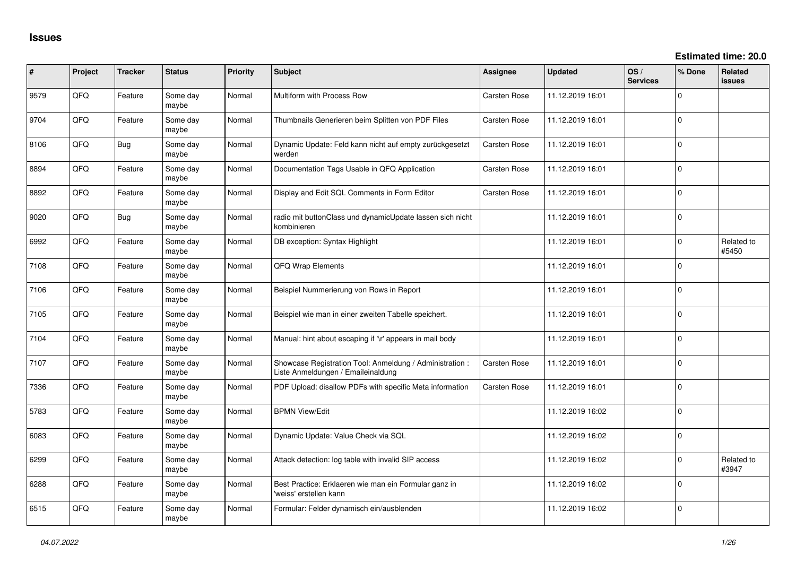| ∦    | Project | <b>Tracker</b> | <b>Status</b>     | Priority | Subject                                                                                        | <b>Assignee</b>     | <b>Updated</b>   | OS/<br><b>Services</b> | % Done      | Related<br>issues   |
|------|---------|----------------|-------------------|----------|------------------------------------------------------------------------------------------------|---------------------|------------------|------------------------|-------------|---------------------|
| 9579 | QFQ     | Feature        | Some day<br>maybe | Normal   | Multiform with Process Row                                                                     | <b>Carsten Rose</b> | 11.12.2019 16:01 |                        | $\Omega$    |                     |
| 9704 | QFQ     | Feature        | Some day<br>maybe | Normal   | Thumbnails Generieren beim Splitten von PDF Files                                              | Carsten Rose        | 11.12.2019 16:01 |                        | $\Omega$    |                     |
| 8106 | QFQ     | <b>Bug</b>     | Some day<br>maybe | Normal   | Dynamic Update: Feld kann nicht auf empty zurückgesetzt<br>werden                              | Carsten Rose        | 11.12.2019 16:01 |                        | $\Omega$    |                     |
| 8894 | QFQ     | Feature        | Some day<br>maybe | Normal   | Documentation Tags Usable in QFQ Application                                                   | Carsten Rose        | 11.12.2019 16:01 |                        | $\Omega$    |                     |
| 8892 | QFQ     | Feature        | Some day<br>maybe | Normal   | Display and Edit SQL Comments in Form Editor                                                   | Carsten Rose        | 11.12.2019 16:01 |                        | $\Omega$    |                     |
| 9020 | QFQ     | Bug            | Some day<br>maybe | Normal   | radio mit buttonClass und dynamicUpdate lassen sich nicht<br>kombinieren                       |                     | 11.12.2019 16:01 |                        | $\Omega$    |                     |
| 6992 | QFQ     | Feature        | Some day<br>maybe | Normal   | DB exception: Syntax Highlight                                                                 |                     | 11.12.2019 16:01 |                        | $\Omega$    | Related to<br>#5450 |
| 7108 | QFQ     | Feature        | Some day<br>maybe | Normal   | QFQ Wrap Elements                                                                              |                     | 11.12.2019 16:01 |                        | $\Omega$    |                     |
| 7106 | QFQ     | Feature        | Some day<br>maybe | Normal   | Beispiel Nummerierung von Rows in Report                                                       |                     | 11.12.2019 16:01 |                        | $\Omega$    |                     |
| 7105 | QFQ     | Feature        | Some day<br>maybe | Normal   | Beispiel wie man in einer zweiten Tabelle speichert.                                           |                     | 11.12.2019 16:01 |                        | $\Omega$    |                     |
| 7104 | QFQ     | Feature        | Some day<br>maybe | Normal   | Manual: hint about escaping if '\r' appears in mail body                                       |                     | 11.12.2019 16:01 |                        | $\Omega$    |                     |
| 7107 | QFQ     | Feature        | Some day<br>maybe | Normal   | Showcase Registration Tool: Anmeldung / Administration :<br>Liste Anmeldungen / Emaileinaldung | <b>Carsten Rose</b> | 11.12.2019 16:01 |                        | $\mathbf 0$ |                     |
| 7336 | QFQ     | Feature        | Some day<br>maybe | Normal   | PDF Upload: disallow PDFs with specific Meta information                                       | Carsten Rose        | 11.12.2019 16:01 |                        | $\mathbf 0$ |                     |
| 5783 | QFQ     | Feature        | Some day<br>maybe | Normal   | <b>BPMN View/Edit</b>                                                                          |                     | 11.12.2019 16:02 |                        | $\Omega$    |                     |
| 6083 | QFQ     | Feature        | Some day<br>maybe | Normal   | Dynamic Update: Value Check via SQL                                                            |                     | 11.12.2019 16:02 |                        | $\Omega$    |                     |
| 6299 | QFQ     | Feature        | Some day<br>maybe | Normal   | Attack detection: log table with invalid SIP access                                            |                     | 11.12.2019 16:02 |                        | $\Omega$    | Related to<br>#3947 |
| 6288 | QFQ     | Feature        | Some day<br>maybe | Normal   | Best Practice: Erklaeren wie man ein Formular ganz in<br>'weiss' erstellen kann                |                     | 11.12.2019 16:02 |                        | $\mathbf 0$ |                     |
| 6515 | QFQ     | Feature        | Some day<br>maybe | Normal   | Formular: Felder dynamisch ein/ausblenden                                                      |                     | 11.12.2019 16:02 |                        | $\Omega$    |                     |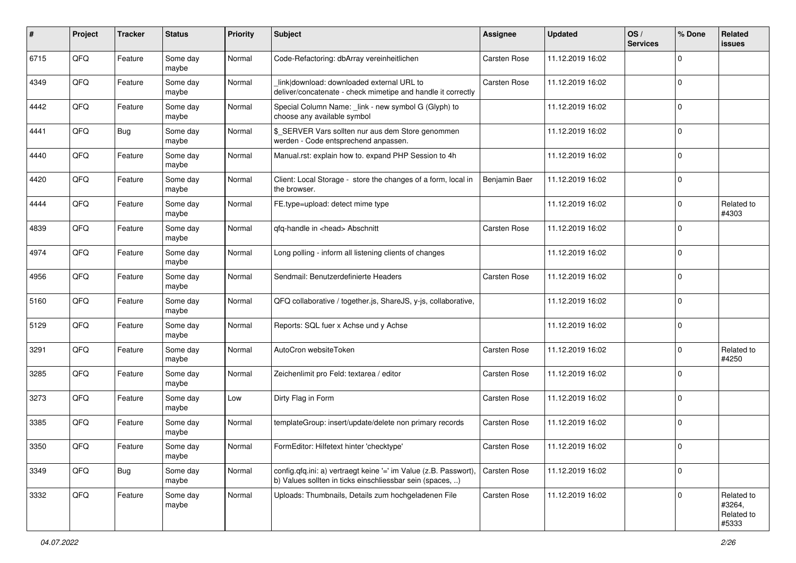| #    | Project | <b>Tracker</b> | <b>Status</b>     | <b>Priority</b> | <b>Subject</b>                                                                                                                | <b>Assignee</b>     | <b>Updated</b>   | OS/<br><b>Services</b> | % Done         | Related<br><b>issues</b>                    |
|------|---------|----------------|-------------------|-----------------|-------------------------------------------------------------------------------------------------------------------------------|---------------------|------------------|------------------------|----------------|---------------------------------------------|
| 6715 | QFQ     | Feature        | Some day<br>maybe | Normal          | Code-Refactoring: dbArray vereinheitlichen                                                                                    | Carsten Rose        | 11.12.2019 16:02 |                        | $\Omega$       |                                             |
| 4349 | QFQ     | Feature        | Some day<br>maybe | Normal          | link download: downloaded external URL to<br>deliver/concatenate - check mimetipe and handle it correctly                     | Carsten Rose        | 11.12.2019 16:02 |                        | $\mathbf 0$    |                                             |
| 4442 | QFQ     | Feature        | Some day<br>maybe | Normal          | Special Column Name: _link - new symbol G (Glyph) to<br>choose any available symbol                                           |                     | 11.12.2019 16:02 |                        | $\Omega$       |                                             |
| 4441 | QFQ     | Bug            | Some day<br>maybe | Normal          | \$_SERVER Vars sollten nur aus dem Store genommen<br>werden - Code entsprechend anpassen.                                     |                     | 11.12.2019 16:02 |                        | $\mathbf 0$    |                                             |
| 4440 | QFQ     | Feature        | Some day<br>maybe | Normal          | Manual.rst: explain how to. expand PHP Session to 4h                                                                          |                     | 11.12.2019 16:02 |                        | $\mathbf 0$    |                                             |
| 4420 | QFQ     | Feature        | Some day<br>maybe | Normal          | Client: Local Storage - store the changes of a form, local in<br>the browser.                                                 | Benjamin Baer       | 11.12.2019 16:02 |                        | $\mathbf 0$    |                                             |
| 4444 | QFQ     | Feature        | Some day<br>maybe | Normal          | FE.type=upload: detect mime type                                                                                              |                     | 11.12.2019 16:02 |                        | $\Omega$       | Related to<br>#4303                         |
| 4839 | QFQ     | Feature        | Some day<br>maybe | Normal          | gfg-handle in <head> Abschnitt</head>                                                                                         | <b>Carsten Rose</b> | 11.12.2019 16:02 |                        | $\mathbf 0$    |                                             |
| 4974 | QFQ     | Feature        | Some day<br>maybe | Normal          | Long polling - inform all listening clients of changes                                                                        |                     | 11.12.2019 16:02 |                        | $\mathbf 0$    |                                             |
| 4956 | QFQ     | Feature        | Some day<br>maybe | Normal          | Sendmail: Benutzerdefinierte Headers                                                                                          | <b>Carsten Rose</b> | 11.12.2019 16:02 |                        | $\mathbf 0$    |                                             |
| 5160 | QFQ     | Feature        | Some day<br>maybe | Normal          | QFQ collaborative / together.js, ShareJS, y-js, collaborative,                                                                |                     | 11.12.2019 16:02 |                        | $\mathbf 0$    |                                             |
| 5129 | QFQ     | Feature        | Some day<br>maybe | Normal          | Reports: SQL fuer x Achse und y Achse                                                                                         |                     | 11.12.2019 16:02 |                        | $\mathbf 0$    |                                             |
| 3291 | QFQ     | Feature        | Some day<br>maybe | Normal          | AutoCron websiteToken                                                                                                         | <b>Carsten Rose</b> | 11.12.2019 16:02 |                        | $\mathbf 0$    | Related to<br>#4250                         |
| 3285 | QFQ     | Feature        | Some day<br>maybe | Normal          | Zeichenlimit pro Feld: textarea / editor                                                                                      | <b>Carsten Rose</b> | 11.12.2019 16:02 |                        | $\Omega$       |                                             |
| 3273 | QFQ     | Feature        | Some day<br>maybe | Low             | Dirty Flag in Form                                                                                                            | <b>Carsten Rose</b> | 11.12.2019 16:02 |                        | $\mathbf 0$    |                                             |
| 3385 | QFQ     | Feature        | Some day<br>maybe | Normal          | templateGroup: insert/update/delete non primary records                                                                       | Carsten Rose        | 11.12.2019 16:02 |                        | $\overline{0}$ |                                             |
| 3350 | QFQ     | Feature        | Some day<br>maybe | Normal          | FormEditor: Hilfetext hinter 'checktype'                                                                                      | <b>Carsten Rose</b> | 11.12.2019 16:02 |                        | l 0            |                                             |
| 3349 | QFQ     | Bug            | Some day<br>maybe | Normal          | config.qfq.ini: a) vertraegt keine '=' im Value (z.B. Passwort),<br>b) Values sollten in ticks einschliessbar sein (spaces, ) | <b>Carsten Rose</b> | 11.12.2019 16:02 |                        | $\mathbf 0$    |                                             |
| 3332 | QFQ     | Feature        | Some day<br>maybe | Normal          | Uploads: Thumbnails, Details zum hochgeladenen File                                                                           | Carsten Rose        | 11.12.2019 16:02 |                        | $\mathbf 0$    | Related to<br>#3264,<br>Related to<br>#5333 |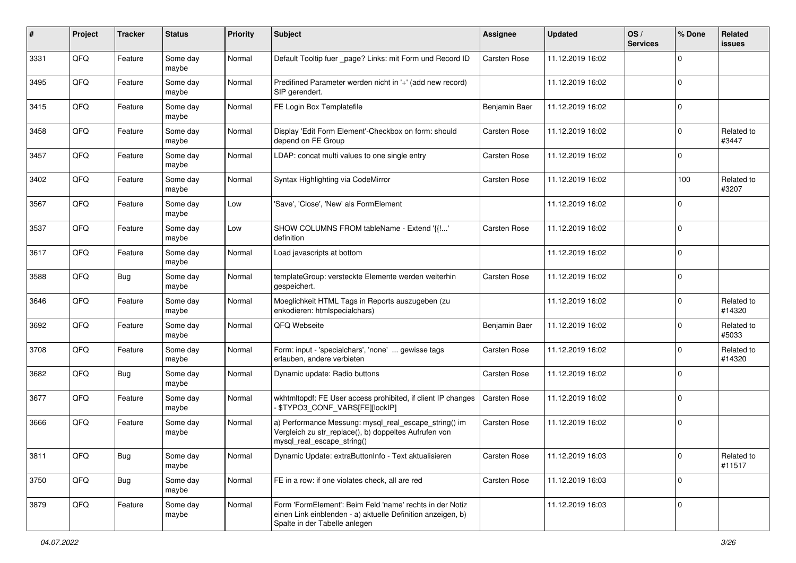| #    | Project | <b>Tracker</b> | <b>Status</b>     | <b>Priority</b> | Subject                                                                                                                                                  | <b>Assignee</b>     | <b>Updated</b>   | OS/<br><b>Services</b> | % Done      | Related<br>issues    |
|------|---------|----------------|-------------------|-----------------|----------------------------------------------------------------------------------------------------------------------------------------------------------|---------------------|------------------|------------------------|-------------|----------------------|
| 3331 | QFQ     | Feature        | Some day<br>maybe | Normal          | Default Tooltip fuer _page? Links: mit Form und Record ID                                                                                                | Carsten Rose        | 11.12.2019 16:02 |                        | $\mathbf 0$ |                      |
| 3495 | QFQ     | Feature        | Some day<br>maybe | Normal          | Predifined Parameter werden nicht in '+' (add new record)<br>SIP gerendert.                                                                              |                     | 11.12.2019 16:02 |                        | $\mathbf 0$ |                      |
| 3415 | QFQ     | Feature        | Some day<br>maybe | Normal          | FE Login Box Templatefile                                                                                                                                | Benjamin Baer       | 11.12.2019 16:02 |                        | $\Omega$    |                      |
| 3458 | QFQ     | Feature        | Some day<br>maybe | Normal          | Display 'Edit Form Element'-Checkbox on form: should<br>depend on FE Group                                                                               | <b>Carsten Rose</b> | 11.12.2019 16:02 |                        | $\mathbf 0$ | Related to<br>#3447  |
| 3457 | QFQ     | Feature        | Some day<br>maybe | Normal          | LDAP: concat multi values to one single entry                                                                                                            | <b>Carsten Rose</b> | 11.12.2019 16:02 |                        | $\mathbf 0$ |                      |
| 3402 | QFQ     | Feature        | Some day<br>maybe | Normal          | Syntax Highlighting via CodeMirror                                                                                                                       | <b>Carsten Rose</b> | 11.12.2019 16:02 |                        | 100         | Related to<br>#3207  |
| 3567 | QFQ     | Feature        | Some day<br>maybe | Low             | 'Save', 'Close', 'New' als FormElement                                                                                                                   |                     | 11.12.2019 16:02 |                        | $\mathbf 0$ |                      |
| 3537 | QFQ     | Feature        | Some day<br>maybe | Low             | SHOW COLUMNS FROM tableName - Extend '{{!'<br>definition                                                                                                 | Carsten Rose        | 11.12.2019 16:02 |                        | 0           |                      |
| 3617 | QFQ     | Feature        | Some day<br>maybe | Normal          | Load javascripts at bottom                                                                                                                               |                     | 11.12.2019 16:02 |                        | 0           |                      |
| 3588 | QFQ     | Bug            | Some day<br>maybe | Normal          | templateGroup: versteckte Elemente werden weiterhin<br>gespeichert.                                                                                      | <b>Carsten Rose</b> | 11.12.2019 16:02 |                        | $\mathbf 0$ |                      |
| 3646 | QFQ     | Feature        | Some day<br>maybe | Normal          | Moeglichkeit HTML Tags in Reports auszugeben (zu<br>enkodieren: htmlspecialchars)                                                                        |                     | 11.12.2019 16:02 |                        | $\mathbf 0$ | Related to<br>#14320 |
| 3692 | QFQ     | Feature        | Some day<br>maybe | Normal          | QFQ Webseite                                                                                                                                             | Benjamin Baer       | 11.12.2019 16:02 |                        | $\Omega$    | Related to<br>#5033  |
| 3708 | QFQ     | Feature        | Some day<br>maybe | Normal          | Form: input - 'specialchars', 'none'  gewisse tags<br>erlauben, andere verbieten                                                                         | <b>Carsten Rose</b> | 11.12.2019 16:02 |                        | $\Omega$    | Related to<br>#14320 |
| 3682 | QFQ     | <b>Bug</b>     | Some day<br>maybe | Normal          | Dynamic update: Radio buttons                                                                                                                            | Carsten Rose        | 11.12.2019 16:02 |                        | $\mathbf 0$ |                      |
| 3677 | QFQ     | Feature        | Some day<br>maybe | Normal          | wkhtmltopdf: FE User access prohibited, if client IP changes<br>- \$TYPO3_CONF_VARS[FE][lockIP]                                                          | <b>Carsten Rose</b> | 11.12.2019 16:02 |                        | 0           |                      |
| 3666 | QFQ     | Feature        | Some day<br>maybe | Normal          | a) Performance Messung: mysql_real_escape_string() im<br>Vergleich zu str_replace(), b) doppeltes Aufrufen von<br>mysql_real_escape_string()             | <b>Carsten Rose</b> | 11.12.2019 16:02 |                        | 0           |                      |
| 3811 | QFQ     | <b>Bug</b>     | Some day<br>maybe | Normal          | Dynamic Update: extraButtonInfo - Text aktualisieren                                                                                                     | Carsten Rose        | 11.12.2019 16:03 |                        | 0           | Related to<br>#11517 |
| 3750 | QFQ     | <b>Bug</b>     | Some day<br>maybe | Normal          | FE in a row: if one violates check, all are red                                                                                                          | Carsten Rose        | 11.12.2019 16:03 |                        | $\mathbf 0$ |                      |
| 3879 | QFQ     | Feature        | Some day<br>maybe | Normal          | Form 'FormElement': Beim Feld 'name' rechts in der Notiz<br>einen Link einblenden - a) aktuelle Definition anzeigen, b)<br>Spalte in der Tabelle anlegen |                     | 11.12.2019 16:03 |                        | 0           |                      |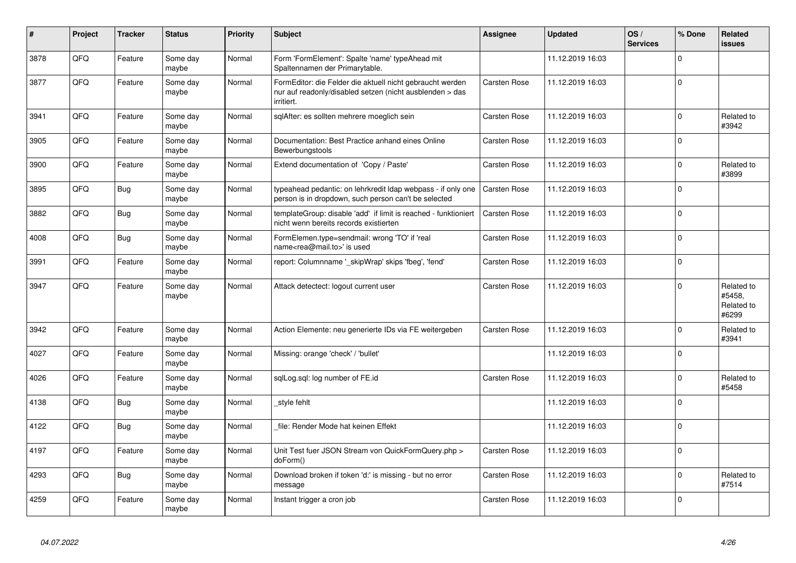| #    | Project | <b>Tracker</b> | <b>Status</b>     | <b>Priority</b> | <b>Subject</b>                                                                                                                      | Assignee            | <b>Updated</b>   | OS/<br><b>Services</b> | % Done      | <b>Related</b><br><b>issues</b>             |
|------|---------|----------------|-------------------|-----------------|-------------------------------------------------------------------------------------------------------------------------------------|---------------------|------------------|------------------------|-------------|---------------------------------------------|
| 3878 | QFQ     | Feature        | Some day<br>maybe | Normal          | Form 'FormElement': Spalte 'name' typeAhead mit<br>Spaltennamen der Primarytable.                                                   |                     | 11.12.2019 16:03 |                        | $\mathbf 0$ |                                             |
| 3877 | QFQ     | Feature        | Some day<br>maybe | Normal          | FormEditor: die Felder die aktuell nicht gebraucht werden<br>nur auf readonly/disabled setzen (nicht ausblenden > das<br>irritiert. | <b>Carsten Rose</b> | 11.12.2019 16:03 |                        | $\mathsf 0$ |                                             |
| 3941 | QFQ     | Feature        | Some day<br>maybe | Normal          | sqlAfter: es sollten mehrere moeglich sein                                                                                          | <b>Carsten Rose</b> | 11.12.2019 16:03 |                        | $\mathbf 0$ | Related to<br>#3942                         |
| 3905 | QFQ     | Feature        | Some day<br>maybe | Normal          | Documentation: Best Practice anhand eines Online<br>Bewerbungstools                                                                 | <b>Carsten Rose</b> | 11.12.2019 16:03 |                        | $\mathbf 0$ |                                             |
| 3900 | QFQ     | Feature        | Some day<br>maybe | Normal          | Extend documentation of 'Copy / Paste'                                                                                              | <b>Carsten Rose</b> | 11.12.2019 16:03 |                        | $\mathsf 0$ | Related to<br>#3899                         |
| 3895 | QFQ     | <b>Bug</b>     | Some day<br>maybe | Normal          | typeahead pedantic: on lehrkredit Idap webpass - if only one<br>person is in dropdown, such person can't be selected                | <b>Carsten Rose</b> | 11.12.2019 16:03 |                        | $\mathbf 0$ |                                             |
| 3882 | QFQ     | <b>Bug</b>     | Some day<br>maybe | Normal          | templateGroup: disable 'add' if limit is reached - funktioniert<br>nicht wenn bereits records existierten                           | <b>Carsten Rose</b> | 11.12.2019 16:03 |                        | $\mathbf 0$ |                                             |
| 4008 | QFQ     | <b>Bug</b>     | Some day<br>maybe | Normal          | FormElemen.type=sendmail: wrong 'TO' if 'real<br>name <rea@mail.to>' is used</rea@mail.to>                                          | Carsten Rose        | 11.12.2019 16:03 |                        | $\mathbf 0$ |                                             |
| 3991 | QFQ     | Feature        | Some day<br>maybe | Normal          | report: Columnname '_skipWrap' skips 'fbeg', 'fend'                                                                                 | <b>Carsten Rose</b> | 11.12.2019 16:03 |                        | $\pmb{0}$   |                                             |
| 3947 | QFQ     | Feature        | Some day<br>maybe | Normal          | Attack detectect: logout current user                                                                                               | <b>Carsten Rose</b> | 11.12.2019 16:03 |                        | $\mathbf 0$ | Related to<br>#5458.<br>Related to<br>#6299 |
| 3942 | QFQ     | Feature        | Some day<br>maybe | Normal          | Action Elemente: neu generierte IDs via FE weitergeben                                                                              | <b>Carsten Rose</b> | 11.12.2019 16:03 |                        | $\mathbf 0$ | Related to<br>#3941                         |
| 4027 | QFQ     | Feature        | Some day<br>maybe | Normal          | Missing: orange 'check' / 'bullet'                                                                                                  |                     | 11.12.2019 16:03 |                        | $\mathbf 0$ |                                             |
| 4026 | QFQ     | Feature        | Some day<br>maybe | Normal          | sqlLog.sql: log number of FE.id                                                                                                     | <b>Carsten Rose</b> | 11.12.2019 16:03 |                        | $\mathbf 0$ | Related to<br>#5458                         |
| 4138 | QFQ     | Bug            | Some day<br>maybe | Normal          | style fehlt                                                                                                                         |                     | 11.12.2019 16:03 |                        | $\mathsf 0$ |                                             |
| 4122 | QFQ     | Bug            | Some day<br>maybe | Normal          | file: Render Mode hat keinen Effekt                                                                                                 |                     | 11.12.2019 16:03 |                        | $\mathbf 0$ |                                             |
| 4197 | QFQ     | Feature        | Some day<br>maybe | Normal          | Unit Test fuer JSON Stream von QuickFormQuery.php ><br>doForm()                                                                     | <b>Carsten Rose</b> | 11.12.2019 16:03 |                        | $\mathbf 0$ |                                             |
| 4293 | QFQ     | <b>Bug</b>     | Some day<br>maybe | Normal          | Download broken if token 'd:' is missing - but no error<br>message                                                                  | <b>Carsten Rose</b> | 11.12.2019 16:03 |                        | $\mathbf 0$ | Related to<br>#7514                         |
| 4259 | QFQ     | Feature        | Some day<br>maybe | Normal          | Instant trigger a cron job                                                                                                          | <b>Carsten Rose</b> | 11.12.2019 16:03 |                        | $\mathbf 0$ |                                             |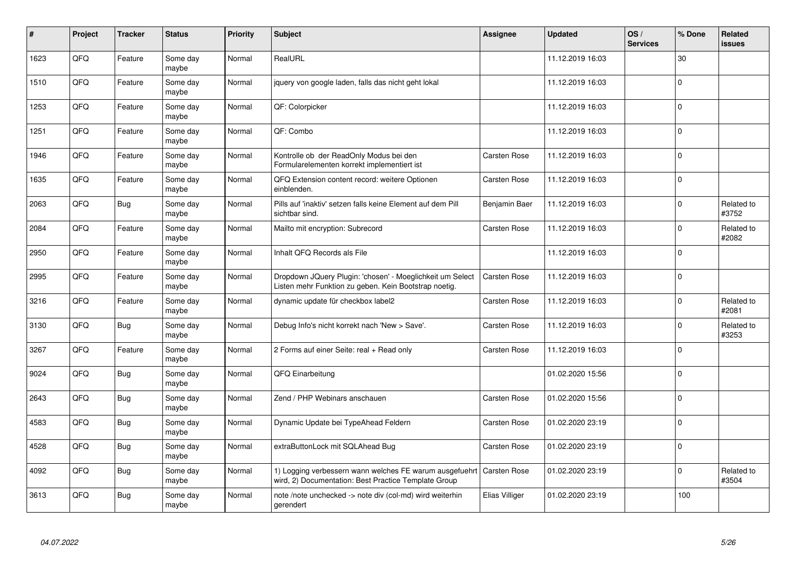| #    | Project | <b>Tracker</b> | <b>Status</b>     | <b>Priority</b> | <b>Subject</b>                                                                                                                 | <b>Assignee</b>     | <b>Updated</b>   | OS/<br><b>Services</b> | % Done      | Related<br><b>issues</b> |
|------|---------|----------------|-------------------|-----------------|--------------------------------------------------------------------------------------------------------------------------------|---------------------|------------------|------------------------|-------------|--------------------------|
| 1623 | QFQ     | Feature        | Some day<br>maybe | Normal          | RealURL                                                                                                                        |                     | 11.12.2019 16:03 |                        | 30          |                          |
| 1510 | QFQ     | Feature        | Some day<br>maybe | Normal          | jquery von google laden, falls das nicht geht lokal                                                                            |                     | 11.12.2019 16:03 |                        | $\Omega$    |                          |
| 1253 | QFQ     | Feature        | Some day<br>maybe | Normal          | QF: Colorpicker                                                                                                                |                     | 11.12.2019 16:03 |                        | $\Omega$    |                          |
| 1251 | QFQ     | Feature        | Some day<br>maybe | Normal          | QF: Combo                                                                                                                      |                     | 11.12.2019 16:03 |                        | $\Omega$    |                          |
| 1946 | QFQ     | Feature        | Some day<br>maybe | Normal          | Kontrolle ob der ReadOnly Modus bei den<br>Formularelementen korrekt implementiert ist                                         | <b>Carsten Rose</b> | 11.12.2019 16:03 |                        | $\mathbf 0$ |                          |
| 1635 | QFQ     | Feature        | Some day<br>maybe | Normal          | QFQ Extension content record: weitere Optionen<br>einblenden.                                                                  | Carsten Rose        | 11.12.2019 16:03 |                        | $\mathbf 0$ |                          |
| 2063 | QFQ     | <b>Bug</b>     | Some day<br>maybe | Normal          | Pills auf 'inaktiv' setzen falls keine Element auf dem Pill<br>sichtbar sind.                                                  | Benjamin Baer       | 11.12.2019 16:03 |                        | $\Omega$    | Related to<br>#3752      |
| 2084 | QFQ     | Feature        | Some day<br>maybe | Normal          | Mailto mit encryption: Subrecord                                                                                               | Carsten Rose        | 11.12.2019 16:03 |                        | $\Omega$    | Related to<br>#2082      |
| 2950 | QFQ     | Feature        | Some day<br>maybe | Normal          | Inhalt QFQ Records als File                                                                                                    |                     | 11.12.2019 16:03 |                        | $\Omega$    |                          |
| 2995 | QFQ     | Feature        | Some day<br>maybe | Normal          | Dropdown JQuery Plugin: 'chosen' - Moeglichkeit um Select<br>Listen mehr Funktion zu geben. Kein Bootstrap noetig.             | <b>Carsten Rose</b> | 11.12.2019 16:03 |                        | $\mathbf 0$ |                          |
| 3216 | QFQ     | Feature        | Some day<br>maybe | Normal          | dynamic update für checkbox label2                                                                                             | Carsten Rose        | 11.12.2019 16:03 |                        | $\Omega$    | Related to<br>#2081      |
| 3130 | QFQ     | <b>Bug</b>     | Some day<br>maybe | Normal          | Debug Info's nicht korrekt nach 'New > Save'.                                                                                  | Carsten Rose        | 11.12.2019 16:03 |                        | $\Omega$    | Related to<br>#3253      |
| 3267 | QFQ     | Feature        | Some day<br>maybe | Normal          | 2 Forms auf einer Seite: real + Read only                                                                                      | <b>Carsten Rose</b> | 11.12.2019 16:03 |                        | $\mathbf 0$ |                          |
| 9024 | QFQ     | <b>Bug</b>     | Some day<br>maybe | Normal          | QFQ Einarbeitung                                                                                                               |                     | 01.02.2020 15:56 |                        | $\Omega$    |                          |
| 2643 | QFQ     | <b>Bug</b>     | Some dav<br>maybe | Normal          | Zend / PHP Webinars anschauen                                                                                                  | Carsten Rose        | 01.02.2020 15:56 |                        | $\Omega$    |                          |
| 4583 | QFQ     | Bug            | Some day<br>maybe | Normal          | Dynamic Update bei TypeAhead Feldern                                                                                           | Carsten Rose        | 01.02.2020 23:19 |                        | $\Omega$    |                          |
| 4528 | QFQ     | <b>Bug</b>     | Some day<br>maybe | Normal          | extraButtonLock mit SQLAhead Bug                                                                                               | <b>Carsten Rose</b> | 01.02.2020 23:19 |                        | $\mathbf 0$ |                          |
| 4092 | QFQ     | <b>Bug</b>     | Some day<br>maybe | Normal          | 1) Logging verbessern wann welches FE warum ausgefuehrt   Carsten Rose<br>wird, 2) Documentation: Best Practice Template Group |                     | 01.02.2020 23:19 |                        | $\Omega$    | Related to<br>#3504      |
| 3613 | QFQ     | <b>Bug</b>     | Some day<br>maybe | Normal          | note /note unchecked -> note div (col-md) wird weiterhin<br>gerendert                                                          | Elias Villiger      | 01.02.2020 23:19 |                        | 100         |                          |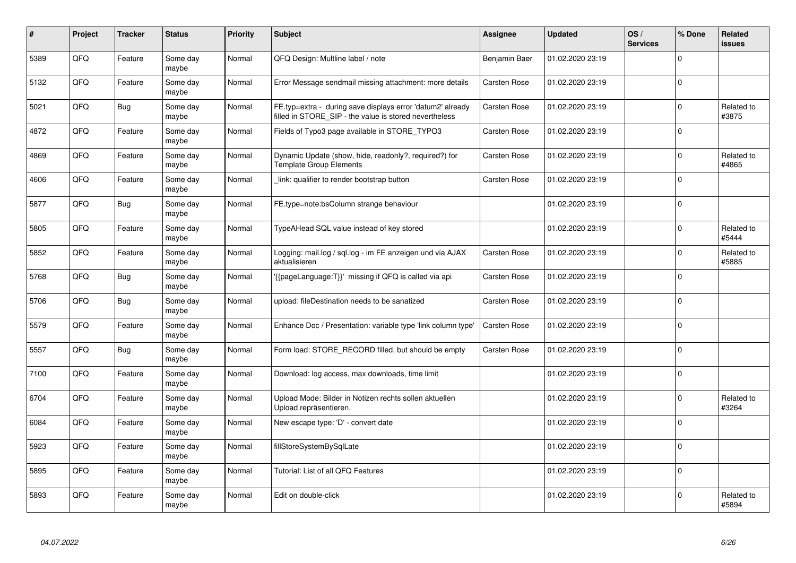| #    | Project    | <b>Tracker</b> | <b>Status</b>     | <b>Priority</b> | <b>Subject</b>                                                                                                       | Assignee            | <b>Updated</b>   | OS/<br><b>Services</b> | % Done      | <b>Related</b><br><b>issues</b> |
|------|------------|----------------|-------------------|-----------------|----------------------------------------------------------------------------------------------------------------------|---------------------|------------------|------------------------|-------------|---------------------------------|
| 5389 | QFQ        | Feature        | Some day<br>maybe | Normal          | QFQ Design: Multline label / note                                                                                    | Benjamin Baer       | 01.02.2020 23:19 |                        | $\mathbf 0$ |                                 |
| 5132 | QFQ        | Feature        | Some day<br>maybe | Normal          | Error Message sendmail missing attachment: more details                                                              | Carsten Rose        | 01.02.2020 23:19 |                        | $\mathbf 0$ |                                 |
| 5021 | QFQ        | <b>Bug</b>     | Some day<br>maybe | Normal          | FE.typ=extra - during save displays error 'datum2' already<br>filled in STORE SIP - the value is stored nevertheless | <b>Carsten Rose</b> | 01.02.2020 23:19 |                        | $\mathbf 0$ | Related to<br>#3875             |
| 4872 | <b>OFO</b> | Feature        | Some day<br>maybe | Normal          | Fields of Typo3 page available in STORE_TYPO3                                                                        | Carsten Rose        | 01.02.2020 23:19 |                        | $\Omega$    |                                 |
| 4869 | QFQ        | Feature        | Some day<br>maybe | Normal          | Dynamic Update (show, hide, readonly?, required?) for<br><b>Template Group Elements</b>                              | Carsten Rose        | 01.02.2020 23:19 |                        | $\mathbf 0$ | Related to<br>#4865             |
| 4606 | QFQ        | Feature        | Some day<br>maybe | Normal          | link: qualifier to render bootstrap button                                                                           | Carsten Rose        | 01.02.2020 23:19 |                        | $\mathbf 0$ |                                 |
| 5877 | QFQ        | Bug            | Some day<br>maybe | Normal          | FE.type=note:bsColumn strange behaviour                                                                              |                     | 01.02.2020 23:19 |                        | $\mathbf 0$ |                                 |
| 5805 | QFQ        | Feature        | Some day<br>maybe | Normal          | TypeAHead SQL value instead of key stored                                                                            |                     | 01.02.2020 23:19 |                        | $\Omega$    | Related to<br>#5444             |
| 5852 | QFQ        | Feature        | Some day<br>maybe | Normal          | Logging: mail.log / sql.log - im FE anzeigen und via AJAX<br>aktualisieren                                           | Carsten Rose        | 01.02.2020 23:19 |                        | $\mathbf 0$ | Related to<br>#5885             |
| 5768 | QFQ        | <b>Bug</b>     | Some day<br>maybe | Normal          | {{pageLanguage:T}}' missing if QFQ is called via api                                                                 | <b>Carsten Rose</b> | 01.02.2020 23:19 |                        | $\mathbf 0$ |                                 |
| 5706 | QFQ        | <b>Bug</b>     | Some day<br>maybe | Normal          | upload: fileDestination needs to be sanatized                                                                        | Carsten Rose        | 01.02.2020 23:19 |                        | $\mathbf 0$ |                                 |
| 5579 | QFQ        | Feature        | Some day<br>maybe | Normal          | Enhance Doc / Presentation: variable type 'link column type'                                                         | <b>Carsten Rose</b> | 01.02.2020 23:19 |                        | $\mathbf 0$ |                                 |
| 5557 | QFQ        | <b>Bug</b>     | Some day<br>maybe | Normal          | Form load: STORE RECORD filled, but should be empty                                                                  | Carsten Rose        | 01.02.2020 23:19 |                        | $\pmb{0}$   |                                 |
| 7100 | QFQ        | Feature        | Some day<br>maybe | Normal          | Download: log access, max downloads, time limit                                                                      |                     | 01.02.2020 23:19 |                        | $\pmb{0}$   |                                 |
| 6704 | QFQ        | Feature        | Some dav<br>maybe | Normal          | Upload Mode: Bilder in Notizen rechts sollen aktuellen<br>Upload repräsentieren.                                     |                     | 01.02.2020 23:19 |                        | $\Omega$    | Related to<br>#3264             |
| 6084 | QFQ        | Feature        | Some day<br>maybe | Normal          | New escape type: 'D' - convert date                                                                                  |                     | 01.02.2020 23:19 |                        | $\mathbf 0$ |                                 |
| 5923 | QFQ        | Feature        | Some day<br>maybe | Normal          | fillStoreSystemBySqlLate                                                                                             |                     | 01.02.2020 23:19 |                        | $\mathbf 0$ |                                 |
| 5895 | QFQ        | Feature        | Some day<br>maybe | Normal          | Tutorial: List of all QFQ Features                                                                                   |                     | 01.02.2020 23:19 |                        | $\pmb{0}$   |                                 |
| 5893 | QFQ        | Feature        | Some day<br>maybe | Normal          | Edit on double-click                                                                                                 |                     | 01.02.2020 23:19 |                        | $\Omega$    | Related to<br>#5894             |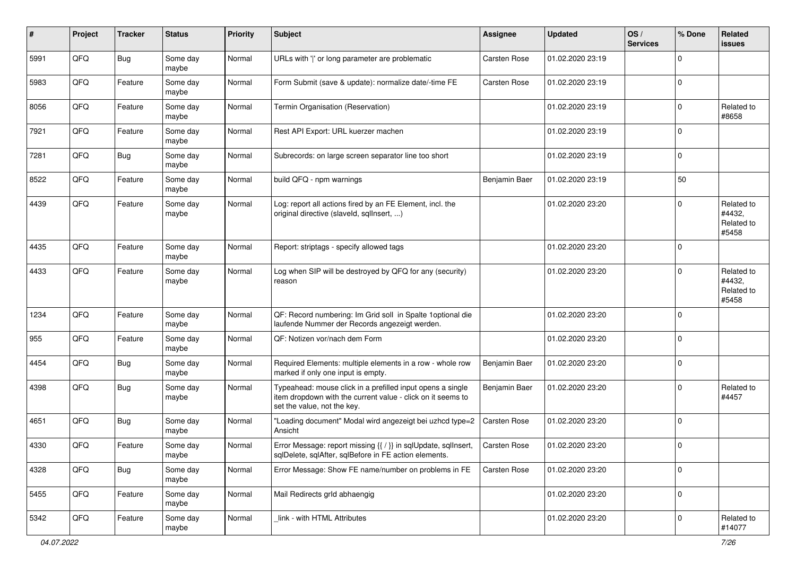| $\sharp$ | Project | <b>Tracker</b> | <b>Status</b>     | <b>Priority</b> | <b>Subject</b>                                                                                                                                           | <b>Assignee</b>     | <b>Updated</b>   | OS/<br><b>Services</b> | % Done         | Related<br><b>issues</b>                    |
|----------|---------|----------------|-------------------|-----------------|----------------------------------------------------------------------------------------------------------------------------------------------------------|---------------------|------------------|------------------------|----------------|---------------------------------------------|
| 5991     | QFQ     | Bug            | Some day<br>maybe | Normal          | URLs with ' ' or long parameter are problematic                                                                                                          | <b>Carsten Rose</b> | 01.02.2020 23:19 |                        | $\Omega$       |                                             |
| 5983     | QFQ     | Feature        | Some day<br>maybe | Normal          | Form Submit (save & update): normalize date/-time FE                                                                                                     | <b>Carsten Rose</b> | 01.02.2020 23:19 |                        | $\mathbf 0$    |                                             |
| 8056     | QFQ     | Feature        | Some day<br>maybe | Normal          | Termin Organisation (Reservation)                                                                                                                        |                     | 01.02.2020 23:19 |                        | $\Omega$       | Related to<br>#8658                         |
| 7921     | QFQ     | Feature        | Some day<br>maybe | Normal          | Rest API Export: URL kuerzer machen                                                                                                                      |                     | 01.02.2020 23:19 |                        | $\mathbf 0$    |                                             |
| 7281     | QFQ     | Bug            | Some day<br>maybe | Normal          | Subrecords: on large screen separator line too short                                                                                                     |                     | 01.02.2020 23:19 |                        | $\mathbf 0$    |                                             |
| 8522     | QFQ     | Feature        | Some day<br>maybe | Normal          | build QFQ - npm warnings                                                                                                                                 | Benjamin Baer       | 01.02.2020 23:19 |                        | 50             |                                             |
| 4439     | QFQ     | Feature        | Some day<br>maybe | Normal          | Log: report all actions fired by an FE Element, incl. the<br>original directive (slaveld, sqlInsert, )                                                   |                     | 01.02.2020 23:20 |                        | $\Omega$       | Related to<br>#4432,<br>Related to<br>#5458 |
| 4435     | QFQ     | Feature        | Some day<br>maybe | Normal          | Report: striptags - specify allowed tags                                                                                                                 |                     | 01.02.2020 23:20 |                        | $\mathbf 0$    |                                             |
| 4433     | QFQ     | Feature        | Some day<br>maybe | Normal          | Log when SIP will be destroyed by QFQ for any (security)<br>reason                                                                                       |                     | 01.02.2020 23:20 |                        | $\Omega$       | Related to<br>#4432,<br>Related to<br>#5458 |
| 1234     | QFQ     | Feature        | Some day<br>maybe | Normal          | QF: Record numbering: Im Grid soll in Spalte 1optional die<br>laufende Nummer der Records angezeigt werden.                                              |                     | 01.02.2020 23:20 |                        | $\Omega$       |                                             |
| 955      | QFQ     | Feature        | Some day<br>maybe | Normal          | QF: Notizen vor/nach dem Form                                                                                                                            |                     | 01.02.2020 23:20 |                        | $\Omega$       |                                             |
| 4454     | QFQ     | Bug            | Some day<br>maybe | Normal          | Required Elements: multiple elements in a row - whole row<br>marked if only one input is empty.                                                          | Benjamin Baer       | 01.02.2020 23:20 |                        | $\mathbf 0$    |                                             |
| 4398     | QFQ     | Bug            | Some day<br>maybe | Normal          | Typeahead: mouse click in a prefilled input opens a single<br>item dropdown with the current value - click on it seems to<br>set the value, not the key. | Benjamin Baer       | 01.02.2020 23:20 |                        | $\mathbf 0$    | Related to<br>#4457                         |
| 4651     | QFQ     | Bug            | Some day<br>maybe | Normal          | "Loading document" Modal wird angezeigt bei uzhcd type=2<br>Ansicht                                                                                      | <b>Carsten Rose</b> | 01.02.2020 23:20 |                        | $\overline{0}$ |                                             |
| 4330     | QFQ     | Feature        | Some day<br>maybe | Normal          | Error Message: report missing {{ / }} in sqlUpdate, sqlInsert,<br>sqlDelete, sqlAfter, sqlBefore in FE action elements.                                  | <b>Carsten Rose</b> | 01.02.2020 23:20 |                        | 0              |                                             |
| 4328     | QFQ     | Bug            | Some day<br>maybe | Normal          | Error Message: Show FE name/number on problems in FE                                                                                                     | Carsten Rose        | 01.02.2020 23:20 |                        | $\mathbf 0$    |                                             |
| 5455     | QFQ     | Feature        | Some day<br>maybe | Normal          | Mail Redirects grld abhaengig                                                                                                                            |                     | 01.02.2020 23:20 |                        | 0              |                                             |
| 5342     | QFQ     | Feature        | Some day<br>maybe | Normal          | link - with HTML Attributes                                                                                                                              |                     | 01.02.2020 23:20 |                        | 0              | Related to<br>#14077                        |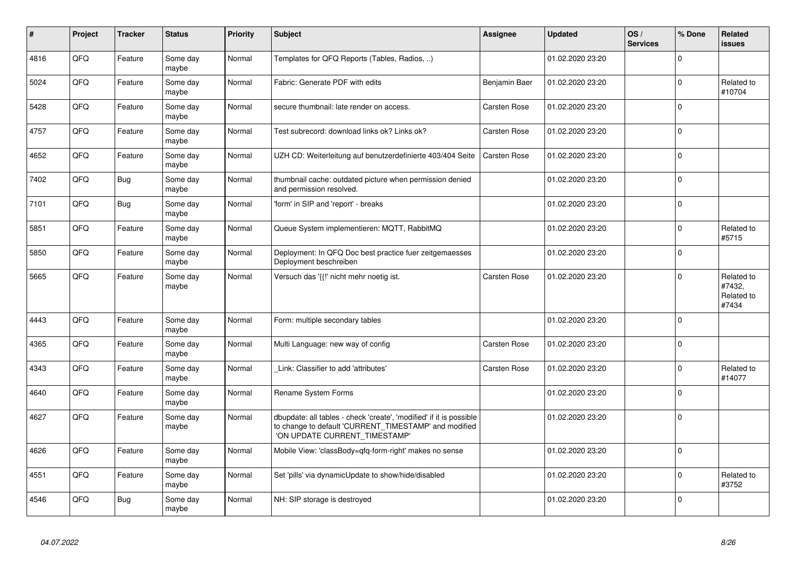| #    | Project | <b>Tracker</b> | <b>Status</b>     | <b>Priority</b> | <b>Subject</b>                                                                                                                                                | <b>Assignee</b>     | <b>Updated</b>   | OS/<br><b>Services</b> | % Done      | Related<br><b>issues</b>                    |
|------|---------|----------------|-------------------|-----------------|---------------------------------------------------------------------------------------------------------------------------------------------------------------|---------------------|------------------|------------------------|-------------|---------------------------------------------|
| 4816 | QFQ     | Feature        | Some day<br>maybe | Normal          | Templates for QFQ Reports (Tables, Radios, )                                                                                                                  |                     | 01.02.2020 23:20 |                        | $\Omega$    |                                             |
| 5024 | QFQ     | Feature        | Some day<br>maybe | Normal          | Fabric: Generate PDF with edits                                                                                                                               | Benjamin Baer       | 01.02.2020 23:20 |                        | $\Omega$    | Related to<br>#10704                        |
| 5428 | QFQ     | Feature        | Some day<br>maybe | Normal          | secure thumbnail: late render on access.                                                                                                                      | Carsten Rose        | 01.02.2020 23:20 |                        | $\Omega$    |                                             |
| 4757 | QFQ     | Feature        | Some day<br>maybe | Normal          | Test subrecord: download links ok? Links ok?                                                                                                                  | Carsten Rose        | 01.02.2020 23:20 |                        | $\Omega$    |                                             |
| 4652 | QFQ     | Feature        | Some day<br>maybe | Normal          | UZH CD: Weiterleitung auf benutzerdefinierte 403/404 Seite                                                                                                    | Carsten Rose        | 01.02.2020 23:20 |                        | $\Omega$    |                                             |
| 7402 | QFQ     | <b>Bug</b>     | Some day<br>maybe | Normal          | thumbnail cache: outdated picture when permission denied<br>and permission resolved.                                                                          |                     | 01.02.2020 23:20 |                        | $\mathbf 0$ |                                             |
| 7101 | QFQ     | <b>Bug</b>     | Some day<br>maybe | Normal          | 'form' in SIP and 'report' - breaks                                                                                                                           |                     | 01.02.2020 23:20 |                        | $\Omega$    |                                             |
| 5851 | QFQ     | Feature        | Some day<br>maybe | Normal          | Queue System implementieren: MQTT, RabbitMQ                                                                                                                   |                     | 01.02.2020 23:20 |                        | $\Omega$    | Related to<br>#5715                         |
| 5850 | QFQ     | Feature        | Some day<br>maybe | Normal          | Deployment: In QFQ Doc best practice fuer zeitgemaesses<br>Deployment beschreiben                                                                             |                     | 01.02.2020 23:20 |                        | $\mathbf 0$ |                                             |
| 5665 | QFQ     | Feature        | Some day<br>maybe | Normal          | Versuch das '{{!' nicht mehr noetig ist.                                                                                                                      | Carsten Rose        | 01.02.2020 23:20 |                        | $\Omega$    | Related to<br>#7432,<br>Related to<br>#7434 |
| 4443 | QFQ     | Feature        | Some day<br>maybe | Normal          | Form: multiple secondary tables                                                                                                                               |                     | 01.02.2020 23:20 |                        | $\Omega$    |                                             |
| 4365 | QFQ     | Feature        | Some day<br>maybe | Normal          | Multi Language: new way of config                                                                                                                             | Carsten Rose        | 01.02.2020 23:20 |                        | $\mathbf 0$ |                                             |
| 4343 | QFQ     | Feature        | Some day<br>maybe | Normal          | Link: Classifier to add 'attributes'                                                                                                                          | <b>Carsten Rose</b> | 01.02.2020 23:20 |                        | $\Omega$    | Related to<br>#14077                        |
| 4640 | QFQ     | Feature        | Some day<br>maybe | Normal          | Rename System Forms                                                                                                                                           |                     | 01.02.2020 23:20 |                        | $\mathbf 0$ |                                             |
| 4627 | QFQ     | Feature        | Some day<br>maybe | Normal          | dbupdate: all tables - check 'create', 'modified' if it is possible<br>to change to default 'CURRENT_TIMESTAMP' and modified<br>'ON UPDATE CURRENT TIMESTAMP' |                     | 01.02.2020 23:20 |                        | $\mathbf 0$ |                                             |
| 4626 | QFQ     | Feature        | Some day<br>maybe | Normal          | Mobile View: 'classBody=qfq-form-right' makes no sense                                                                                                        |                     | 01.02.2020 23:20 |                        | $\Omega$    |                                             |
| 4551 | QFQ     | Feature        | Some day<br>maybe | Normal          | Set 'pills' via dynamicUpdate to show/hide/disabled                                                                                                           |                     | 01.02.2020 23:20 |                        | $\Omega$    | Related to<br>#3752                         |
| 4546 | QFQ     | Bug            | Some day<br>maybe | Normal          | NH: SIP storage is destroyed                                                                                                                                  |                     | 01.02.2020 23:20 |                        | $\Omega$    |                                             |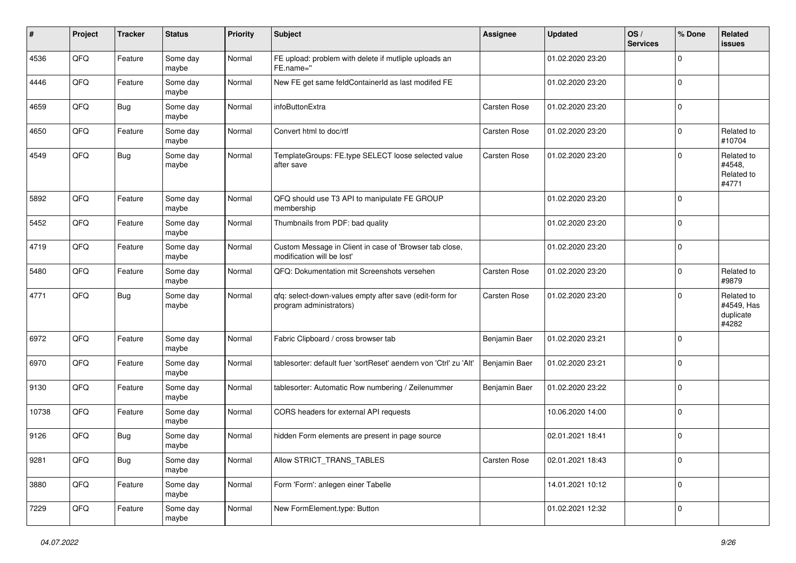| $\vert$ # | Project | <b>Tracker</b> | <b>Status</b>     | <b>Priority</b> | <b>Subject</b>                                                                        | Assignee            | Updated          | OS/<br><b>Services</b> | % Done      | <b>Related</b><br><b>issues</b>                |
|-----------|---------|----------------|-------------------|-----------------|---------------------------------------------------------------------------------------|---------------------|------------------|------------------------|-------------|------------------------------------------------|
| 4536      | QFQ     | Feature        | Some day<br>maybe | Normal          | FE upload: problem with delete if mutliple uploads an<br>FE.name="                    |                     | 01.02.2020 23:20 |                        | $\Omega$    |                                                |
| 4446      | QFQ     | Feature        | Some day<br>maybe | Normal          | New FE get same feldContainerId as last modifed FE                                    |                     | 01.02.2020 23:20 |                        | $\mathbf 0$ |                                                |
| 4659      | QFQ     | Bug            | Some day<br>maybe | Normal          | infoButtonExtra                                                                       | Carsten Rose        | 01.02.2020 23:20 |                        | $\Omega$    |                                                |
| 4650      | QFQ     | Feature        | Some day<br>maybe | Normal          | Convert html to doc/rtf                                                               | <b>Carsten Rose</b> | 01.02.2020 23:20 |                        | 0           | Related to<br>#10704                           |
| 4549      | QFQ     | Bug            | Some day<br>maybe | Normal          | TemplateGroups: FE.type SELECT loose selected value<br>after save                     | Carsten Rose        | 01.02.2020 23:20 |                        | $\mathbf 0$ | Related to<br>#4548,<br>Related to<br>#4771    |
| 5892      | QFQ     | Feature        | Some day<br>maybe | Normal          | QFQ should use T3 API to manipulate FE GROUP<br>membership                            |                     | 01.02.2020 23:20 |                        | $\mathbf 0$ |                                                |
| 5452      | QFQ     | Feature        | Some day<br>maybe | Normal          | Thumbnails from PDF: bad quality                                                      |                     | 01.02.2020 23:20 |                        | $\mathbf 0$ |                                                |
| 4719      | QFQ     | Feature        | Some day<br>maybe | Normal          | Custom Message in Client in case of 'Browser tab close,<br>modification will be lost' |                     | 01.02.2020 23:20 |                        | $\mathbf 0$ |                                                |
| 5480      | QFQ     | Feature        | Some day<br>maybe | Normal          | QFQ: Dokumentation mit Screenshots versehen                                           | Carsten Rose        | 01.02.2020 23:20 |                        | $\mathbf 0$ | Related to<br>#9879                            |
| 4771      | QFQ     | <b>Bug</b>     | Some day<br>maybe | Normal          | qfq: select-down-values empty after save (edit-form for<br>program administrators)    | Carsten Rose        | 01.02.2020 23:20 |                        | 0           | Related to<br>#4549, Has<br>duplicate<br>#4282 |
| 6972      | QFQ     | Feature        | Some day<br>maybe | Normal          | Fabric Clipboard / cross browser tab                                                  | Benjamin Baer       | 01.02.2020 23:21 |                        | $\Omega$    |                                                |
| 6970      | QFQ     | Feature        | Some day<br>maybe | Normal          | tablesorter: default fuer 'sortReset' aendern von 'Ctrl' zu 'Alt'                     | Benjamin Baer       | 01.02.2020 23:21 |                        | $\mathbf 0$ |                                                |
| 9130      | QFQ     | Feature        | Some day<br>maybe | Normal          | tablesorter: Automatic Row numbering / Zeilenummer                                    | Benjamin Baer       | 01.02.2020 23:22 |                        | $\mathbf 0$ |                                                |
| 10738     | QFQ     | Feature        | Some day<br>maybe | Normal          | CORS headers for external API requests                                                |                     | 10.06.2020 14:00 |                        | $\mathbf 0$ |                                                |
| 9126      | QFQ     | <b>Bug</b>     | Some day<br>maybe | Normal          | hidden Form elements are present in page source                                       |                     | 02.01.2021 18:41 |                        | $\mathbf 0$ |                                                |
| 9281      | QFG     | <b>Bug</b>     | Some day<br>maybe | Normal          | Allow STRICT_TRANS_TABLES                                                             | Carsten Rose        | 02.01.2021 18:43 |                        | $\mathbf 0$ |                                                |
| 3880      | QFO     | Feature        | Some day<br>maybe | Normal          | Form 'Form': anlegen einer Tabelle                                                    |                     | 14.01.2021 10:12 |                        | $\mathbf 0$ |                                                |
| 7229      | QFG     | Feature        | Some day<br>maybe | Normal          | New FormElement.type: Button                                                          |                     | 01.02.2021 12:32 |                        | $\mathbf 0$ |                                                |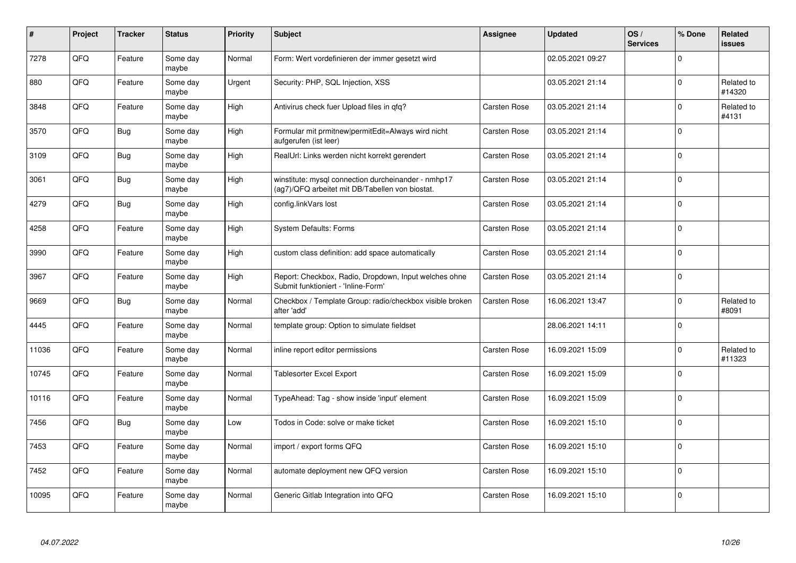| #     | Project | <b>Tracker</b> | <b>Status</b>     | <b>Priority</b> | <b>Subject</b>                                                                                         | Assignee            | <b>Updated</b>   | OS/<br><b>Services</b> | % Done      | Related<br><b>issues</b> |
|-------|---------|----------------|-------------------|-----------------|--------------------------------------------------------------------------------------------------------|---------------------|------------------|------------------------|-------------|--------------------------|
| 7278  | QFQ     | Feature        | Some day<br>maybe | Normal          | Form: Wert vordefinieren der immer gesetzt wird                                                        |                     | 02.05.2021 09:27 |                        | $\Omega$    |                          |
| 880   | QFQ     | Feature        | Some day<br>maybe | Urgent          | Security: PHP, SQL Injection, XSS                                                                      |                     | 03.05.2021 21:14 |                        | $\mathbf 0$ | Related to<br>#14320     |
| 3848  | QFQ     | Feature        | Some day<br>maybe | High            | Antivirus check fuer Upload files in qfq?                                                              | <b>Carsten Rose</b> | 03.05.2021 21:14 |                        | $\Omega$    | Related to<br>#4131      |
| 3570  | QFQ     | <b>Bug</b>     | Some day<br>maybe | High            | Formular mit prmitnew permitEdit=Always wird nicht<br>aufgerufen (ist leer)                            | <b>Carsten Rose</b> | 03.05.2021 21:14 |                        | $\Omega$    |                          |
| 3109  | QFQ     | Bug            | Some day<br>maybe | High            | RealUrl: Links werden nicht korrekt gerendert                                                          | <b>Carsten Rose</b> | 03.05.2021 21:14 |                        | $\Omega$    |                          |
| 3061  | QFQ     | <b>Bug</b>     | Some day<br>maybe | High            | winstitute: mysql connection durcheinander - nmhp17<br>(ag7)/QFQ arbeitet mit DB/Tabellen von biostat. | Carsten Rose        | 03.05.2021 21:14 |                        | $\mathbf 0$ |                          |
| 4279  | QFQ     | <b>Bug</b>     | Some day<br>maybe | High            | config.linkVars lost                                                                                   | <b>Carsten Rose</b> | 03.05.2021 21:14 |                        | $\Omega$    |                          |
| 4258  | QFQ     | Feature        | Some day<br>maybe | High            | <b>System Defaults: Forms</b>                                                                          | <b>Carsten Rose</b> | 03.05.2021 21:14 |                        | $\Omega$    |                          |
| 3990  | QFQ     | Feature        | Some day<br>maybe | High            | custom class definition: add space automatically                                                       | <b>Carsten Rose</b> | 03.05.2021 21:14 |                        | $\Omega$    |                          |
| 3967  | QFQ     | Feature        | Some day<br>maybe | High            | Report: Checkbox, Radio, Dropdown, Input welches ohne<br>Submit funktioniert - 'Inline-Form'           | <b>Carsten Rose</b> | 03.05.2021 21:14 |                        | $\mathbf 0$ |                          |
| 9669  | QFQ     | <b>Bug</b>     | Some day<br>maybe | Normal          | Checkbox / Template Group: radio/checkbox visible broken<br>after 'add'                                | Carsten Rose        | 16.06.2021 13:47 |                        | $\Omega$    | Related to<br>#8091      |
| 4445  | QFQ     | Feature        | Some day<br>maybe | Normal          | template group: Option to simulate fieldset                                                            |                     | 28.06.2021 14:11 |                        | $\Omega$    |                          |
| 11036 | QFQ     | Feature        | Some day<br>maybe | Normal          | inline report editor permissions                                                                       | <b>Carsten Rose</b> | 16.09.2021 15:09 |                        | $\mathbf 0$ | Related to<br>#11323     |
| 10745 | QFQ     | Feature        | Some day<br>maybe | Normal          | <b>Tablesorter Excel Export</b>                                                                        | Carsten Rose        | 16.09.2021 15:09 |                        | $\Omega$    |                          |
| 10116 | QFQ     | Feature        | Some dav<br>maybe | Normal          | TypeAhead: Tag - show inside 'input' element                                                           | <b>Carsten Rose</b> | 16.09.2021 15:09 |                        | $\Omega$    |                          |
| 7456  | QFQ     | Bug            | Some day<br>maybe | Low             | Todos in Code: solve or make ticket                                                                    | <b>Carsten Rose</b> | 16.09.2021 15:10 |                        | $\Omega$    |                          |
| 7453  | QFQ     | Feature        | Some day<br>maybe | Normal          | import / export forms QFQ                                                                              | <b>Carsten Rose</b> | 16.09.2021 15:10 |                        | $\mathbf 0$ |                          |
| 7452  | QFQ     | Feature        | Some day<br>maybe | Normal          | automate deployment new QFQ version                                                                    | Carsten Rose        | 16.09.2021 15:10 |                        | $\Omega$    |                          |
| 10095 | QFQ     | Feature        | Some day<br>maybe | Normal          | Generic Gitlab Integration into QFQ                                                                    | <b>Carsten Rose</b> | 16.09.2021 15:10 |                        | $\Omega$    |                          |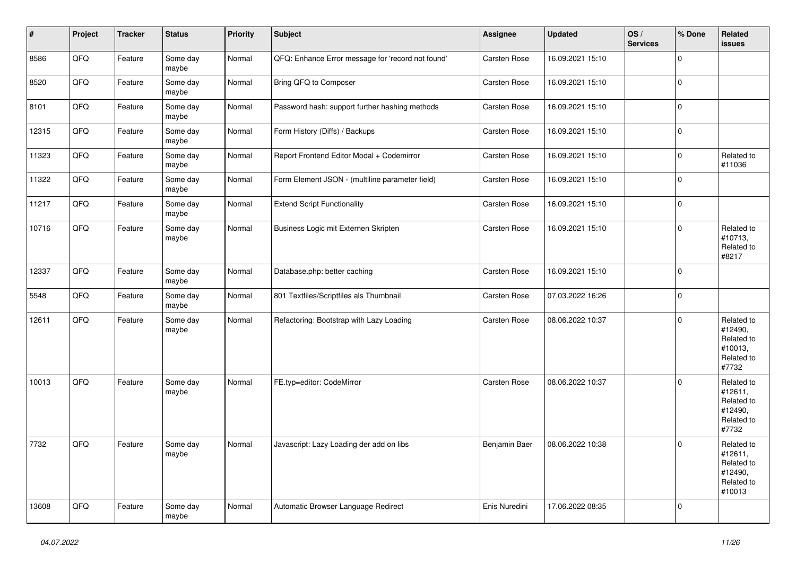| $\vert$ # | Project | <b>Tracker</b> | <b>Status</b>     | <b>Priority</b> | <b>Subject</b>                                    | Assignee            | <b>Updated</b>   | OS/<br><b>Services</b> | % Done      | Related<br><b>issues</b>                                               |
|-----------|---------|----------------|-------------------|-----------------|---------------------------------------------------|---------------------|------------------|------------------------|-------------|------------------------------------------------------------------------|
| 8586      | QFQ     | Feature        | Some day<br>maybe | Normal          | QFQ: Enhance Error message for 'record not found' | <b>Carsten Rose</b> | 16.09.2021 15:10 |                        | $\mathbf 0$ |                                                                        |
| 8520      | QFQ     | Feature        | Some day<br>maybe | Normal          | Bring QFQ to Composer                             | Carsten Rose        | 16.09.2021 15:10 |                        | $\mathbf 0$ |                                                                        |
| 8101      | QFQ     | Feature        | Some day<br>maybe | Normal          | Password hash: support further hashing methods    | <b>Carsten Rose</b> | 16.09.2021 15:10 |                        | $\mathbf 0$ |                                                                        |
| 12315     | QFQ     | Feature        | Some day<br>maybe | Normal          | Form History (Diffs) / Backups                    | Carsten Rose        | 16.09.2021 15:10 |                        | $\pmb{0}$   |                                                                        |
| 11323     | QFQ     | Feature        | Some day<br>maybe | Normal          | Report Frontend Editor Modal + Codemirror         | Carsten Rose        | 16.09.2021 15:10 |                        | $\mathbf 0$ | Related to<br>#11036                                                   |
| 11322     | QFQ     | Feature        | Some day<br>maybe | Normal          | Form Element JSON - (multiline parameter field)   | <b>Carsten Rose</b> | 16.09.2021 15:10 |                        | $\mathbf 0$ |                                                                        |
| 11217     | QFQ     | Feature        | Some day<br>maybe | Normal          | <b>Extend Script Functionality</b>                | Carsten Rose        | 16.09.2021 15:10 |                        | $\mathbf 0$ |                                                                        |
| 10716     | QFQ     | Feature        | Some day<br>maybe | Normal          | Business Logic mit Externen Skripten              | Carsten Rose        | 16.09.2021 15:10 |                        | $\mathbf 0$ | Related to<br>#10713,<br>Related to<br>#8217                           |
| 12337     | QFQ     | Feature        | Some day<br>maybe | Normal          | Database.php: better caching                      | <b>Carsten Rose</b> | 16.09.2021 15:10 |                        | $\Omega$    |                                                                        |
| 5548      | QFQ     | Feature        | Some day<br>maybe | Normal          | 801 Textfiles/Scriptfiles als Thumbnail           | <b>Carsten Rose</b> | 07.03.2022 16:26 |                        | $\mathbf 0$ |                                                                        |
| 12611     | QFQ     | Feature        | Some day<br>maybe | Normal          | Refactoring: Bootstrap with Lazy Loading          | <b>Carsten Rose</b> | 08.06.2022 10:37 |                        | $\mathbf 0$ | Related to<br>#12490,<br>Related to<br>#10013,<br>Related to<br>#7732  |
| 10013     | QFQ     | Feature        | Some day<br>maybe | Normal          | FE.typ=editor: CodeMirror                         | <b>Carsten Rose</b> | 08.06.2022 10:37 |                        | $\Omega$    | Related to<br>#12611,<br>Related to<br>#12490,<br>Related to<br>#7732  |
| 7732      | QFQ     | Feature        | Some day<br>maybe | Normal          | Javascript: Lazy Loading der add on libs          | Benjamin Baer       | 08.06.2022 10:38 |                        | $\mathbf 0$ | Related to<br>#12611,<br>Related to<br>#12490,<br>Related to<br>#10013 |
| 13608     | QFQ     | Feature        | Some day<br>maybe | Normal          | Automatic Browser Language Redirect               | Enis Nuredini       | 17.06.2022 08:35 |                        | $\mathbf 0$ |                                                                        |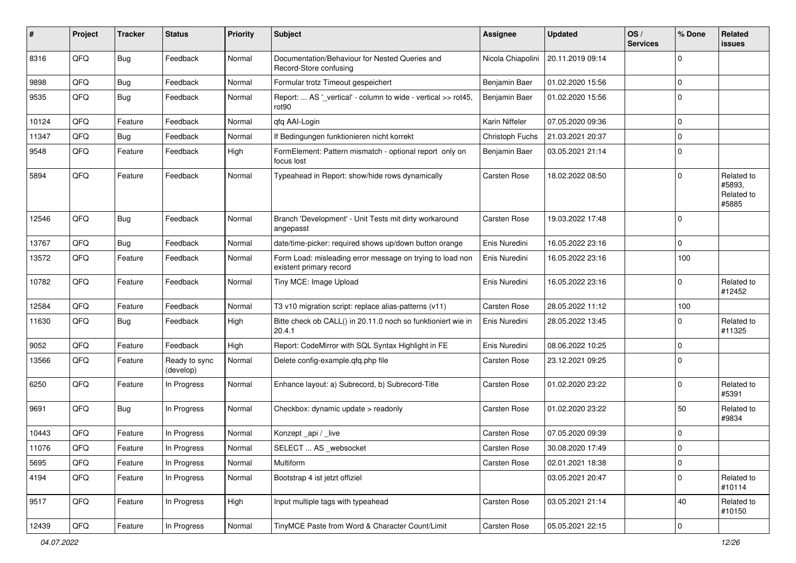| #     | Project        | <b>Tracker</b> | <b>Status</b>              | <b>Priority</b> | Subject                                                                              | Assignee            | <b>Updated</b>   | OS/<br><b>Services</b> | % Done      | <b>Related</b><br>issues                    |
|-------|----------------|----------------|----------------------------|-----------------|--------------------------------------------------------------------------------------|---------------------|------------------|------------------------|-------------|---------------------------------------------|
| 8316  | QFQ            | <b>Bug</b>     | Feedback                   | Normal          | Documentation/Behaviour for Nested Queries and<br>Record-Store confusing             | Nicola Chiapolini   | 20.11.2019 09:14 |                        | $\Omega$    |                                             |
| 9898  | QFQ            | <b>Bug</b>     | Feedback                   | Normal          | Formular trotz Timeout gespeichert                                                   | Benjamin Baer       | 01.02.2020 15:56 |                        | 0           |                                             |
| 9535  | QFQ            | <b>Bug</b>     | Feedback                   | Normal          | Report:  AS '_vertical' - column to wide - vertical >> rot45,<br>rot <sub>90</sub>   | Benjamin Baer       | 01.02.2020 15:56 |                        | $\Omega$    |                                             |
| 10124 | QFQ            | Feature        | Feedback                   | Normal          | qfq AAI-Login                                                                        | Karin Niffeler      | 07.05.2020 09:36 |                        | $\mathbf 0$ |                                             |
| 11347 | QFQ            | Bug            | Feedback                   | Normal          | If Bedingungen funktionieren nicht korrekt                                           | Christoph Fuchs     | 21.03.2021 20:37 |                        | 0           |                                             |
| 9548  | QFQ            | Feature        | Feedback                   | High            | FormElement: Pattern mismatch - optional report only on<br>focus lost                | Benjamin Baer       | 03.05.2021 21:14 |                        | $\mathbf 0$ |                                             |
| 5894  | QFQ            | Feature        | Feedback                   | Normal          | Typeahead in Report: show/hide rows dynamically                                      | Carsten Rose        | 18.02.2022 08:50 |                        | $\Omega$    | Related to<br>#5893,<br>Related to<br>#5885 |
| 12546 | QFQ            | Bug            | Feedback                   | Normal          | Branch 'Development' - Unit Tests mit dirty workaround<br>angepasst                  | Carsten Rose        | 19.03.2022 17:48 |                        | 0           |                                             |
| 13767 | QFQ            | Bug            | Feedback                   | Normal          | date/time-picker: required shows up/down button orange                               | Enis Nuredini       | 16.05.2022 23:16 |                        | $\Omega$    |                                             |
| 13572 | QFQ            | Feature        | Feedback                   | Normal          | Form Load: misleading error message on trying to load non<br>existent primary record | Enis Nuredini       | 16.05.2022 23:16 |                        | 100         |                                             |
| 10782 | QFQ            | Feature        | Feedback                   | Normal          | Tiny MCE: Image Upload                                                               | Enis Nuredini       | 16.05.2022 23:16 |                        | $\Omega$    | Related to<br>#12452                        |
| 12584 | QFQ            | Feature        | Feedback                   | Normal          | T3 v10 migration script: replace alias-patterns (v11)                                | Carsten Rose        | 28.05.2022 11:12 |                        | 100         |                                             |
| 11630 | QFQ            | Bug            | Feedback                   | High            | Bitte check ob CALL() in 20.11.0 noch so funktioniert wie in<br>20.4.1               | Enis Nuredini       | 28.05.2022 13:45 |                        | $\Omega$    | Related to<br>#11325                        |
| 9052  | QFQ            | Feature        | Feedback                   | High            | Report: CodeMirror with SQL Syntax Highlight in FE                                   | Enis Nuredini       | 08.06.2022 10:25 |                        | $\mathbf 0$ |                                             |
| 13566 | QFQ            | Feature        | Ready to sync<br>(develop) | Normal          | Delete config-example.qfq.php file                                                   | Carsten Rose        | 23.12.2021 09:25 |                        | $\Omega$    |                                             |
| 6250  | QFQ            | Feature        | In Progress                | Normal          | Enhance layout: a) Subrecord, b) Subrecord-Title                                     | Carsten Rose        | 01.02.2020 23:22 |                        | $\Omega$    | Related to<br>#5391                         |
| 9691  | QFQ            | <b>Bug</b>     | In Progress                | Normal          | Checkbox: dynamic update > readonly                                                  | <b>Carsten Rose</b> | 01.02.2020 23:22 |                        | 50          | Related to<br>#9834                         |
| 10443 | QFQ            | Feature        | In Progress                | Normal          | Konzept_api / _live                                                                  | Carsten Rose        | 07.05.2020 09:39 |                        | 0           |                                             |
| 11076 | QFQ            | Feature        | In Progress                | Normal          | SELECT  AS _websocket                                                                | Carsten Rose        | 30.08.2020 17:49 |                        | $\Omega$    |                                             |
| 5695  | QFQ            | Feature        | In Progress                | Normal          | <b>Multiform</b>                                                                     | Carsten Rose        | 02.01.2021 18:38 |                        | $\mathbf 0$ |                                             |
| 4194  | QFQ            | Feature        | In Progress                | Normal          | Bootstrap 4 ist jetzt offiziel                                                       |                     | 03.05.2021 20:47 |                        | $\mathbf 0$ | Related to<br>#10114                        |
| 9517  | QFQ            | Feature        | In Progress                | High            | Input multiple tags with typeahead                                                   | Carsten Rose        | 03.05.2021 21:14 |                        | $40\,$      | Related to<br>#10150                        |
| 12439 | $\mathsf{QFQ}$ | Feature        | In Progress                | Normal          | TinyMCE Paste from Word & Character Count/Limit                                      | Carsten Rose        | 05.05.2021 22:15 |                        | $\pmb{0}$   |                                             |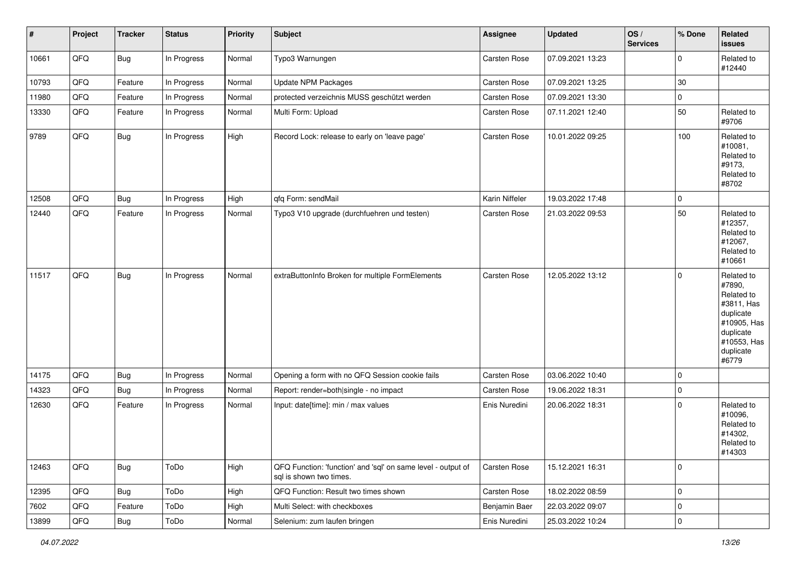| $\vert$ # | Project | <b>Tracker</b> | <b>Status</b> | <b>Priority</b> | Subject                                                                                 | Assignee       | <b>Updated</b>   | OS/<br><b>Services</b> | % Done      | Related<br>issues                                                                                                              |
|-----------|---------|----------------|---------------|-----------------|-----------------------------------------------------------------------------------------|----------------|------------------|------------------------|-------------|--------------------------------------------------------------------------------------------------------------------------------|
| 10661     | QFQ     | <b>Bug</b>     | In Progress   | Normal          | Typo3 Warnungen                                                                         | Carsten Rose   | 07.09.2021 13:23 |                        | $\mathbf 0$ | Related to<br>#12440                                                                                                           |
| 10793     | QFQ     | Feature        | In Progress   | Normal          | Update NPM Packages                                                                     | Carsten Rose   | 07.09.2021 13:25 |                        | $30\,$      |                                                                                                                                |
| 11980     | QFQ     | Feature        | In Progress   | Normal          | protected verzeichnis MUSS geschützt werden                                             | Carsten Rose   | 07.09.2021 13:30 |                        | $\mathbf 0$ |                                                                                                                                |
| 13330     | QFQ     | Feature        | In Progress   | Normal          | Multi Form: Upload                                                                      | Carsten Rose   | 07.11.2021 12:40 |                        | 50          | Related to<br>#9706                                                                                                            |
| 9789      | QFQ     | <b>Bug</b>     | In Progress   | High            | Record Lock: release to early on 'leave page'                                           | Carsten Rose   | 10.01.2022 09:25 |                        | 100         | Related to<br>#10081,<br>Related to<br>#9173,<br>Related to<br>#8702                                                           |
| 12508     | QFQ     | Bug            | In Progress   | High            | qfq Form: sendMail                                                                      | Karin Niffeler | 19.03.2022 17:48 |                        | 0           |                                                                                                                                |
| 12440     | QFQ     | Feature        | In Progress   | Normal          | Typo3 V10 upgrade (durchfuehren und testen)                                             | Carsten Rose   | 21.03.2022 09:53 |                        | 50          | Related to<br>#12357,<br>Related to<br>#12067,<br>Related to<br>#10661                                                         |
| 11517     | QFQ     | Bug            | In Progress   | Normal          | extraButtonInfo Broken for multiple FormElements                                        | Carsten Rose   | 12.05.2022 13:12 |                        | $\Omega$    | Related to<br>#7890,<br>Related to<br>#3811, Has<br>duplicate<br>#10905, Has<br>duplicate<br>#10553, Has<br>duplicate<br>#6779 |
| 14175     | QFQ     | <b>Bug</b>     | In Progress   | Normal          | Opening a form with no QFQ Session cookie fails                                         | Carsten Rose   | 03.06.2022 10:40 |                        | $\Omega$    |                                                                                                                                |
| 14323     | QFQ     | Bug            | In Progress   | Normal          | Report: render=both single - no impact                                                  | Carsten Rose   | 19.06.2022 18:31 |                        | 0           |                                                                                                                                |
| 12630     | QFQ     | Feature        | In Progress   | Normal          | Input: date[time]: min / max values                                                     | Enis Nuredini  | 20.06.2022 18:31 |                        | $\Omega$    | Related to<br>#10096,<br>Related to<br>#14302,<br>Related to<br>#14303                                                         |
| 12463     | QFQ     | Bug            | ToDo          | High            | QFQ Function: 'function' and 'sql' on same level - output of<br>sql is shown two times. | Carsten Rose   | 15.12.2021 16:31 |                        | $\mathbf 0$ |                                                                                                                                |
| 12395     | QFQ     | Bug            | ToDo          | High            | QFQ Function: Result two times shown                                                    | Carsten Rose   | 18.02.2022 08:59 |                        | $\mathbf 0$ |                                                                                                                                |
| 7602      | QFQ     | Feature        | ToDo          | High            | Multi Select: with checkboxes                                                           | Benjamin Baer  | 22.03.2022 09:07 |                        | 0           |                                                                                                                                |
| 13899     | QFQ     | Bug            | ToDo          | Normal          | Selenium: zum laufen bringen                                                            | Enis Nuredini  | 25.03.2022 10:24 |                        | $\pmb{0}$   |                                                                                                                                |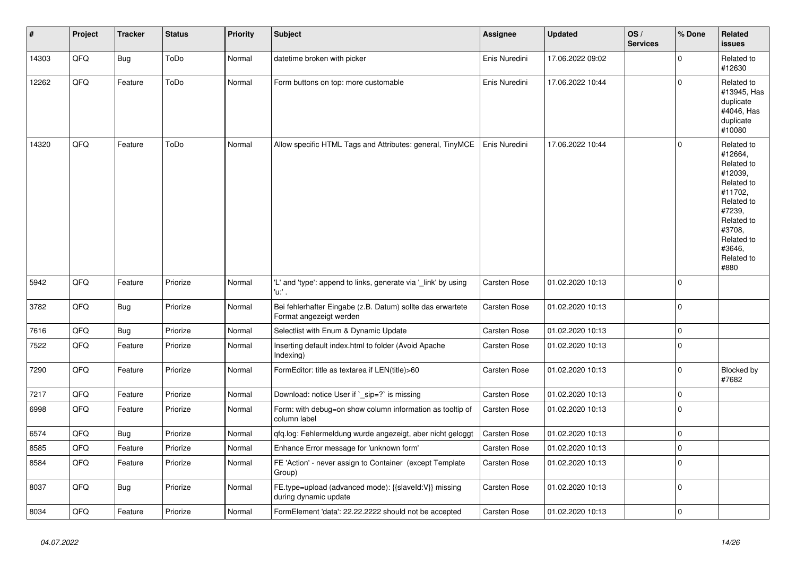| #     | Project | <b>Tracker</b> | <b>Status</b> | <b>Priority</b> | <b>Subject</b>                                                                        | Assignee            | <b>Updated</b>   | OS/<br><b>Services</b> | % Done      | Related<br><b>issues</b>                                                                                                                                              |
|-------|---------|----------------|---------------|-----------------|---------------------------------------------------------------------------------------|---------------------|------------------|------------------------|-------------|-----------------------------------------------------------------------------------------------------------------------------------------------------------------------|
| 14303 | QFQ     | <b>Bug</b>     | ToDo          | Normal          | datetime broken with picker                                                           | Enis Nuredini       | 17.06.2022 09:02 |                        | $\mathbf 0$ | Related to<br>#12630                                                                                                                                                  |
| 12262 | QFQ     | Feature        | ToDo          | Normal          | Form buttons on top: more customable                                                  | Enis Nuredini       | 17.06.2022 10:44 |                        | $\mathbf 0$ | Related to<br>#13945, Has<br>duplicate<br>#4046, Has<br>duplicate<br>#10080                                                                                           |
| 14320 | QFQ     | Feature        | ToDo          | Normal          | Allow specific HTML Tags and Attributes: general, TinyMCE                             | Enis Nuredini       | 17.06.2022 10:44 |                        | $\Omega$    | Related to<br>#12664,<br>Related to<br>#12039,<br>Related to<br>#11702,<br>Related to<br>#7239,<br>Related to<br>#3708.<br>Related to<br>#3646,<br>Related to<br>#880 |
| 5942  | QFQ     | Feature        | Priorize      | Normal          | 'L' and 'type': append to links, generate via '_link' by using<br>'u:' .              | Carsten Rose        | 01.02.2020 10:13 |                        | $\mathbf 0$ |                                                                                                                                                                       |
| 3782  | QFQ     | <b>Bug</b>     | Priorize      | Normal          | Bei fehlerhafter Eingabe (z.B. Datum) sollte das erwartete<br>Format angezeigt werden | <b>Carsten Rose</b> | 01.02.2020 10:13 |                        | $\mathbf 0$ |                                                                                                                                                                       |
| 7616  | QFQ     | <b>Bug</b>     | Priorize      | Normal          | Selectlist with Enum & Dynamic Update                                                 | Carsten Rose        | 01.02.2020 10:13 |                        | $\pmb{0}$   |                                                                                                                                                                       |
| 7522  | QFQ     | Feature        | Priorize      | Normal          | Inserting default index.html to folder (Avoid Apache<br>Indexing)                     | Carsten Rose        | 01.02.2020 10:13 |                        | $\pmb{0}$   |                                                                                                                                                                       |
| 7290  | QFQ     | Feature        | Priorize      | Normal          | FormEditor: title as textarea if LEN(title)>60                                        | Carsten Rose        | 01.02.2020 10:13 |                        | $\Omega$    | Blocked by<br>#7682                                                                                                                                                   |
| 7217  | QFQ     | Feature        | Priorize      | Normal          | Download: notice User if `_sip=?` is missing                                          | <b>Carsten Rose</b> | 01.02.2020 10:13 |                        | $\pmb{0}$   |                                                                                                                                                                       |
| 6998  | QFQ     | Feature        | Priorize      | Normal          | Form: with debug=on show column information as tooltip of<br>column label             | Carsten Rose        | 01.02.2020 10:13 |                        | $\mathbf 0$ |                                                                                                                                                                       |
| 6574  | QFQ     | <b>Bug</b>     | Priorize      | Normal          | qfq.log: Fehlermeldung wurde angezeigt, aber nicht geloggt                            | Carsten Rose        | 01.02.2020 10:13 |                        | $\mathbf 0$ |                                                                                                                                                                       |
| 8585  | QFQ     | Feature        | Priorize      | Normal          | Enhance Error message for 'unknown form'                                              | <b>Carsten Rose</b> | 01.02.2020 10:13 |                        | $\mathbf 0$ |                                                                                                                                                                       |
| 8584  | QFQ     | Feature        | Priorize      | Normal          | FE 'Action' - never assign to Container (except Template)<br>Group)                   | Carsten Rose        | 01.02.2020 10:13 |                        | $\mathbf 0$ |                                                                                                                                                                       |
| 8037  | QFQ     | Bug            | Priorize      | Normal          | FE.type=upload (advanced mode): {{slaveld:V}} missing<br>during dynamic update        | Carsten Rose        | 01.02.2020 10:13 |                        | $\mathbf 0$ |                                                                                                                                                                       |
| 8034  | QFQ     | Feature        | Priorize      | Normal          | FormElement 'data': 22.22.2222 should not be accepted                                 | Carsten Rose        | 01.02.2020 10:13 |                        | $\mathbf 0$ |                                                                                                                                                                       |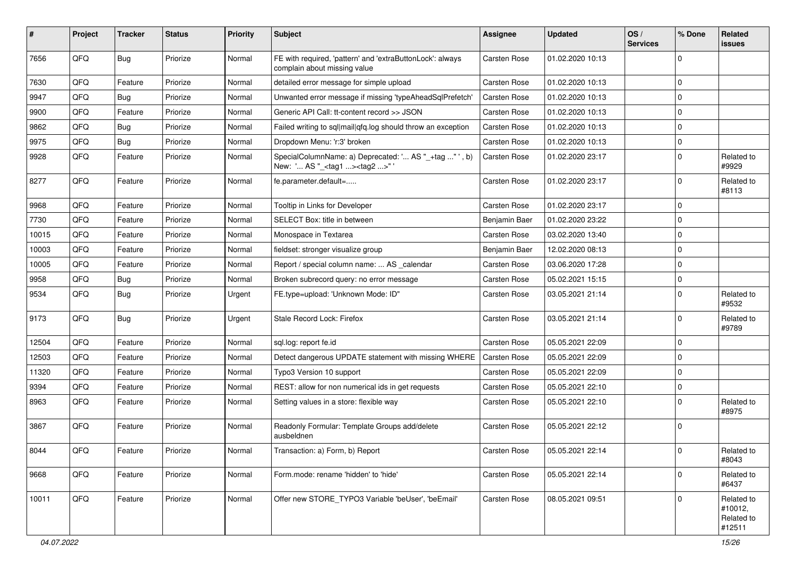| #     | Project | <b>Tracker</b> | <b>Status</b> | <b>Priority</b> | <b>Subject</b>                                                                                     | <b>Assignee</b>     | <b>Updated</b>   | OS/<br><b>Services</b> | % Done      | Related<br><b>issues</b>                      |
|-------|---------|----------------|---------------|-----------------|----------------------------------------------------------------------------------------------------|---------------------|------------------|------------------------|-------------|-----------------------------------------------|
| 7656  | QFQ     | Bug            | Priorize      | Normal          | FE with required, 'pattern' and 'extraButtonLock': always<br>complain about missing value          | <b>Carsten Rose</b> | 01.02.2020 10:13 |                        | $\Omega$    |                                               |
| 7630  | QFQ     | Feature        | Priorize      | Normal          | detailed error message for simple upload                                                           | <b>Carsten Rose</b> | 01.02.2020 10:13 |                        | $\mathbf 0$ |                                               |
| 9947  | QFQ     | <b>Bug</b>     | Priorize      | Normal          | Unwanted error message if missing 'typeAheadSqlPrefetch'                                           | <b>Carsten Rose</b> | 01.02.2020 10:13 |                        | $\mathbf 0$ |                                               |
| 9900  | QFQ     | Feature        | Priorize      | Normal          | Generic API Call: tt-content record >> JSON                                                        | <b>Carsten Rose</b> | 01.02.2020 10:13 |                        | $\mathbf 0$ |                                               |
| 9862  | QFQ     | Bug            | Priorize      | Normal          | Failed writing to sql mail qfq.log should throw an exception                                       | <b>Carsten Rose</b> | 01.02.2020 10:13 |                        | $\mathbf 0$ |                                               |
| 9975  | QFQ     | Bug            | Priorize      | Normal          | Dropdown Menu: 'r:3' broken                                                                        | <b>Carsten Rose</b> | 01.02.2020 10:13 |                        | $\mathbf 0$ |                                               |
| 9928  | QFQ     | Feature        | Priorize      | Normal          | SpecialColumnName: a) Deprecated: ' AS "_+tag " ', b)<br>New: ' AS "_ <tag1><tag2>"'</tag2></tag1> | Carsten Rose        | 01.02.2020 23:17 |                        | $\mathbf 0$ | Related to<br>#9929                           |
| 8277  | QFQ     | Feature        | Priorize      | Normal          | fe.parameter.default=                                                                              | <b>Carsten Rose</b> | 01.02.2020 23:17 |                        | $\mathbf 0$ | Related to<br>#8113                           |
| 9968  | QFQ     | Feature        | Priorize      | Normal          | Tooltip in Links for Developer                                                                     | <b>Carsten Rose</b> | 01.02.2020 23:17 |                        | $\mathbf 0$ |                                               |
| 7730  | QFQ     | Feature        | Priorize      | Normal          | SELECT Box: title in between                                                                       | Benjamin Baer       | 01.02.2020 23:22 |                        | $\mathbf 0$ |                                               |
| 10015 | QFQ     | Feature        | Priorize      | Normal          | Monospace in Textarea                                                                              | Carsten Rose        | 03.02.2020 13:40 |                        | $\mathbf 0$ |                                               |
| 10003 | QFQ     | Feature        | Priorize      | Normal          | fieldset: stronger visualize group                                                                 | Benjamin Baer       | 12.02.2020 08:13 |                        | $\mathbf 0$ |                                               |
| 10005 | QFQ     | Feature        | Priorize      | Normal          | Report / special column name:  AS _calendar                                                        | <b>Carsten Rose</b> | 03.06.2020 17:28 |                        | $\mathbf 0$ |                                               |
| 9958  | QFQ     | <b>Bug</b>     | Priorize      | Normal          | Broken subrecord query: no error message                                                           | <b>Carsten Rose</b> | 05.02.2021 15:15 |                        | $\mathbf 0$ |                                               |
| 9534  | QFQ     | Bug            | Priorize      | Urgent          | FE.type=upload: 'Unknown Mode: ID"                                                                 | Carsten Rose        | 03.05.2021 21:14 |                        | $\mathbf 0$ | Related to<br>#9532                           |
| 9173  | QFQ     | Bug            | Priorize      | Urgent          | Stale Record Lock: Firefox                                                                         | <b>Carsten Rose</b> | 03.05.2021 21:14 |                        | $\mathbf 0$ | Related to<br>#9789                           |
| 12504 | QFQ     | Feature        | Priorize      | Normal          | sql.log: report fe.id                                                                              | Carsten Rose        | 05.05.2021 22:09 |                        | $\mathbf 0$ |                                               |
| 12503 | QFQ     | Feature        | Priorize      | Normal          | Detect dangerous UPDATE statement with missing WHERE                                               | <b>Carsten Rose</b> | 05.05.2021 22:09 |                        | $\mathbf 0$ |                                               |
| 11320 | QFQ     | Feature        | Priorize      | Normal          | Typo3 Version 10 support                                                                           | <b>Carsten Rose</b> | 05.05.2021 22:09 |                        | $\mathbf 0$ |                                               |
| 9394  | QFQ     | Feature        | Priorize      | Normal          | REST: allow for non numerical ids in get requests                                                  | <b>Carsten Rose</b> | 05.05.2021 22:10 |                        | $\mathbf 0$ |                                               |
| 8963  | QFQ     | Feature        | Priorize      | Normal          | Setting values in a store: flexible way                                                            | <b>Carsten Rose</b> | 05.05.2021 22:10 |                        | $\mathbf 0$ | Related to<br>#8975                           |
| 3867  | QFQ     | Feature        | Priorize      | Normal          | Readonly Formular: Template Groups add/delete<br>ausbeldnen                                        | <b>Carsten Rose</b> | 05.05.2021 22:12 |                        | $\Omega$    |                                               |
| 8044  | QFQ     | Feature        | Priorize      | Normal          | Transaction: a) Form, b) Report                                                                    | Carsten Rose        | 05.05.2021 22:14 |                        | 0           | Related to<br>#8043                           |
| 9668  | QFQ     | Feature        | Priorize      | Normal          | Form.mode: rename 'hidden' to 'hide'                                                               | <b>Carsten Rose</b> | 05.05.2021 22:14 |                        | $\mathbf 0$ | Related to<br>#6437                           |
| 10011 | QFQ     | Feature        | Priorize      | Normal          | Offer new STORE_TYPO3 Variable 'beUser', 'beEmail'                                                 | <b>Carsten Rose</b> | 08.05.2021 09:51 |                        | $\mathbf 0$ | Related to<br>#10012,<br>Related to<br>#12511 |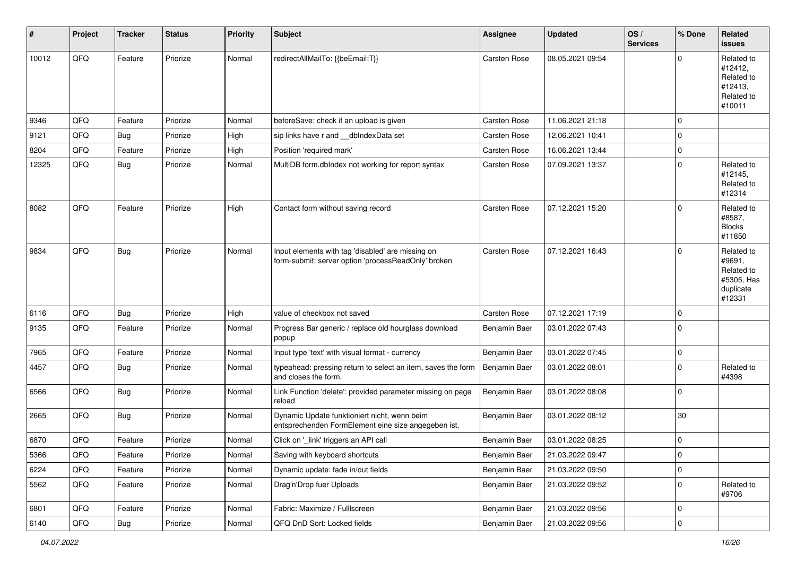| ∦     | Project        | <b>Tracker</b> | <b>Status</b> | <b>Priority</b> | Subject                                                                                                  | <b>Assignee</b> | <b>Updated</b>   | OS/<br><b>Services</b> | % Done      | Related<br><b>issues</b>                                                |
|-------|----------------|----------------|---------------|-----------------|----------------------------------------------------------------------------------------------------------|-----------------|------------------|------------------------|-------------|-------------------------------------------------------------------------|
| 10012 | QFQ            | Feature        | Priorize      | Normal          | redirectAllMailTo: {{beEmail:T}}                                                                         | Carsten Rose    | 08.05.2021 09:54 |                        | $\Omega$    | Related to<br>#12412,<br>Related to<br>#12413,<br>Related to<br>#10011  |
| 9346  | QFQ            | Feature        | Priorize      | Normal          | beforeSave: check if an upload is given                                                                  | Carsten Rose    | 11.06.2021 21:18 |                        | $\Omega$    |                                                                         |
| 9121  | QFQ            | Bug            | Priorize      | High            | sip links have r and dblndexData set                                                                     | Carsten Rose    | 12.06.2021 10:41 |                        | $\Omega$    |                                                                         |
| 8204  | QFQ            | Feature        | Priorize      | High            | Position 'required mark'                                                                                 | Carsten Rose    | 16.06.2021 13:44 |                        | $\Omega$    |                                                                         |
| 12325 | QFQ            | Bug            | Priorize      | Normal          | MultiDB form.dblndex not working for report syntax                                                       | Carsten Rose    | 07.09.2021 13:37 |                        | $\Omega$    | Related to<br>#12145,<br>Related to<br>#12314                           |
| 8082  | QFQ            | Feature        | Priorize      | High            | Contact form without saving record                                                                       | Carsten Rose    | 07.12.2021 15:20 |                        | $\Omega$    | Related to<br>#8587,<br><b>Blocks</b><br>#11850                         |
| 9834  | QFQ            | <b>Bug</b>     | Priorize      | Normal          | Input elements with tag 'disabled' are missing on<br>form-submit: server option 'processReadOnly' broken | Carsten Rose    | 07.12.2021 16:43 |                        | $\Omega$    | Related to<br>#9691,<br>Related to<br>#5305, Has<br>duplicate<br>#12331 |
| 6116  | QFQ            | <b>Bug</b>     | Priorize      | High            | value of checkbox not saved                                                                              | Carsten Rose    | 07.12.2021 17:19 |                        | $\Omega$    |                                                                         |
| 9135  | QFQ            | Feature        | Priorize      | Normal          | Progress Bar generic / replace old hourglass download<br>popup                                           | Benjamin Baer   | 03.01.2022 07:43 |                        | $\Omega$    |                                                                         |
| 7965  | QFQ            | Feature        | Priorize      | Normal          | Input type 'text' with visual format - currency                                                          | Benjamin Baer   | 03.01.2022 07:45 |                        | $\Omega$    |                                                                         |
| 4457  | QFQ            | Bug            | Priorize      | Normal          | typeahead: pressing return to select an item, saves the form<br>and closes the form.                     | Benjamin Baer   | 03.01.2022 08:01 |                        | $\Omega$    | Related to<br>#4398                                                     |
| 6566  | QFQ            | Bug            | Priorize      | Normal          | Link Function 'delete': provided parameter missing on page<br>reload                                     | Benjamin Baer   | 03.01.2022 08:08 |                        | $\Omega$    |                                                                         |
| 2665  | QFQ            | <b>Bug</b>     | Priorize      | Normal          | Dynamic Update funktioniert nicht, wenn beim<br>entsprechenden FormElement eine size angegeben ist.      | Benjamin Baer   | 03.01.2022 08:12 |                        | 30          |                                                                         |
| 6870  | QFQ            | Feature        | Priorize      | Normal          | Click on '_link' triggers an API call                                                                    | Benjamin Baer   | 03.01.2022 08:25 |                        | $\mathbf 0$ |                                                                         |
| 5366  | QFQ            | Feature        | Priorize      | Normal          | Saving with keyboard shortcuts                                                                           | Benjamin Baer   | 21.03.2022 09:47 |                        | 0           |                                                                         |
| 6224  | QFQ            | Feature        | Priorize      | Normal          | Dynamic update: fade in/out fields                                                                       | Benjamin Baer   | 21.03.2022 09:50 |                        | 0           |                                                                         |
| 5562  | QFQ            | Feature        | Priorize      | Normal          | Drag'n'Drop fuer Uploads                                                                                 | Benjamin Baer   | 21.03.2022 09:52 |                        | 0           | Related to<br>#9706                                                     |
| 6801  | QFQ            | Feature        | Priorize      | Normal          | Fabric: Maximize / FullIscreen                                                                           | Benjamin Baer   | 21.03.2022 09:56 |                        | $\mathbf 0$ |                                                                         |
| 6140  | $\mathsf{QFQ}$ | Bug            | Priorize      | Normal          | QFQ DnD Sort: Locked fields                                                                              | Benjamin Baer   | 21.03.2022 09:56 |                        | $\pmb{0}$   |                                                                         |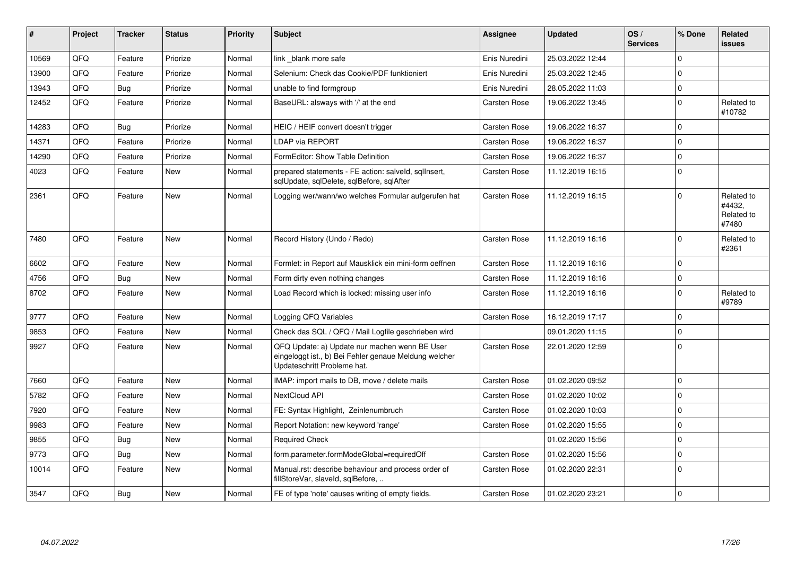| ∦     | Project | <b>Tracker</b> | <b>Status</b> | <b>Priority</b> | <b>Subject</b>                                                                                                                        | Assignee            | <b>Updated</b>   | OS/<br><b>Services</b> | % Done      | Related<br><b>issues</b>                    |
|-------|---------|----------------|---------------|-----------------|---------------------------------------------------------------------------------------------------------------------------------------|---------------------|------------------|------------------------|-------------|---------------------------------------------|
| 10569 | QFQ     | Feature        | Priorize      | Normal          | link blank more safe                                                                                                                  | Enis Nuredini       | 25.03.2022 12:44 |                        | $\Omega$    |                                             |
| 13900 | QFQ     | Feature        | Priorize      | Normal          | Selenium: Check das Cookie/PDF funktioniert                                                                                           | Enis Nuredini       | 25.03.2022 12:45 |                        | $\mathbf 0$ |                                             |
| 13943 | QFQ     | Bug            | Priorize      | Normal          | unable to find formgroup                                                                                                              | Enis Nuredini       | 28.05.2022 11:03 |                        | $\mathbf 0$ |                                             |
| 12452 | QFQ     | Feature        | Priorize      | Normal          | BaseURL: alsways with '/' at the end                                                                                                  | Carsten Rose        | 19.06.2022 13:45 |                        | $\Omega$    | Related to<br>#10782                        |
| 14283 | QFQ     | Bug            | Priorize      | Normal          | HEIC / HEIF convert doesn't trigger                                                                                                   | Carsten Rose        | 19.06.2022 16:37 |                        | $\Omega$    |                                             |
| 14371 | QFQ     | Feature        | Priorize      | Normal          | LDAP via REPORT                                                                                                                       | Carsten Rose        | 19.06.2022 16:37 |                        | $\mathbf 0$ |                                             |
| 14290 | QFQ     | Feature        | Priorize      | Normal          | FormEditor: Show Table Definition                                                                                                     | <b>Carsten Rose</b> | 19.06.2022 16:37 |                        | $\mathbf 0$ |                                             |
| 4023  | QFQ     | Feature        | <b>New</b>    | Normal          | prepared statements - FE action: salveld, sgllnsert,<br>sqlUpdate, sqlDelete, sqlBefore, sqlAfter                                     | <b>Carsten Rose</b> | 11.12.2019 16:15 |                        | $\Omega$    |                                             |
| 2361  | QFQ     | Feature        | New           | Normal          | Logging wer/wann/wo welches Formular aufgerufen hat                                                                                   | Carsten Rose        | 11.12.2019 16:15 |                        | $\Omega$    | Related to<br>#4432,<br>Related to<br>#7480 |
| 7480  | QFQ     | Feature        | New           | Normal          | Record History (Undo / Redo)                                                                                                          | Carsten Rose        | 11.12.2019 16:16 |                        | $\mathbf 0$ | Related to<br>#2361                         |
| 6602  | QFQ     | Feature        | New           | Normal          | Formlet: in Report auf Mausklick ein mini-form oeffnen                                                                                | Carsten Rose        | 11.12.2019 16:16 |                        | $\Omega$    |                                             |
| 4756  | QFQ     | Bug            | <b>New</b>    | Normal          | Form dirty even nothing changes                                                                                                       | Carsten Rose        | 11.12.2019 16:16 |                        | $\mathbf 0$ |                                             |
| 8702  | QFQ     | Feature        | New           | Normal          | Load Record which is locked: missing user info                                                                                        | Carsten Rose        | 11.12.2019 16:16 |                        | $\mathbf 0$ | Related to<br>#9789                         |
| 9777  | QFQ     | Feature        | <b>New</b>    | Normal          | Logging QFQ Variables                                                                                                                 | <b>Carsten Rose</b> | 16.12.2019 17:17 |                        | $\mathbf 0$ |                                             |
| 9853  | QFQ     | Feature        | <b>New</b>    | Normal          | Check das SQL / QFQ / Mail Logfile geschrieben wird                                                                                   |                     | 09.01.2020 11:15 |                        | $\Omega$    |                                             |
| 9927  | QFQ     | Feature        | New           | Normal          | QFQ Update: a) Update nur machen wenn BE User<br>eingeloggt ist., b) Bei Fehler genaue Meldung welcher<br>Updateschritt Probleme hat. | <b>Carsten Rose</b> | 22.01.2020 12:59 |                        | $\mathbf 0$ |                                             |
| 7660  | QFQ     | Feature        | <b>New</b>    | Normal          | IMAP: import mails to DB, move / delete mails                                                                                         | <b>Carsten Rose</b> | 01.02.2020 09:52 |                        | $\mathbf 0$ |                                             |
| 5782  | QFQ     | Feature        | New           | Normal          | NextCloud API                                                                                                                         | Carsten Rose        | 01.02.2020 10:02 |                        | $\mathbf 0$ |                                             |
| 7920  | QFQ     | Feature        | New           | Normal          | FE: Syntax Highlight, Zeinlenumbruch                                                                                                  | Carsten Rose        | 01.02.2020 10:03 |                        | $\mathbf 0$ |                                             |
| 9983  | QFQ     | Feature        | New           | Normal          | Report Notation: new keyword 'range'                                                                                                  | <b>Carsten Rose</b> | 01.02.2020 15:55 |                        | $\mathbf 0$ |                                             |
| 9855  | QFQ     | <b>Bug</b>     | <b>New</b>    | Normal          | <b>Required Check</b>                                                                                                                 |                     | 01.02.2020 15:56 |                        | $\Omega$    |                                             |
| 9773  | QFQ     | <b>Bug</b>     | New           | Normal          | form.parameter.formModeGlobal=requiredOff                                                                                             | Carsten Rose        | 01.02.2020 15:56 |                        | $\mathbf 0$ |                                             |
| 10014 | QFQ     | Feature        | New           | Normal          | Manual.rst: describe behaviour and process order of<br>fillStoreVar, slaveId, sqlBefore,                                              | Carsten Rose        | 01.02.2020 22:31 |                        | $\mathbf 0$ |                                             |
| 3547  | QFQ     | <b>Bug</b>     | <b>New</b>    | Normal          | FE of type 'note' causes writing of empty fields.                                                                                     | <b>Carsten Rose</b> | 01.02.2020 23:21 |                        | $\mathbf 0$ |                                             |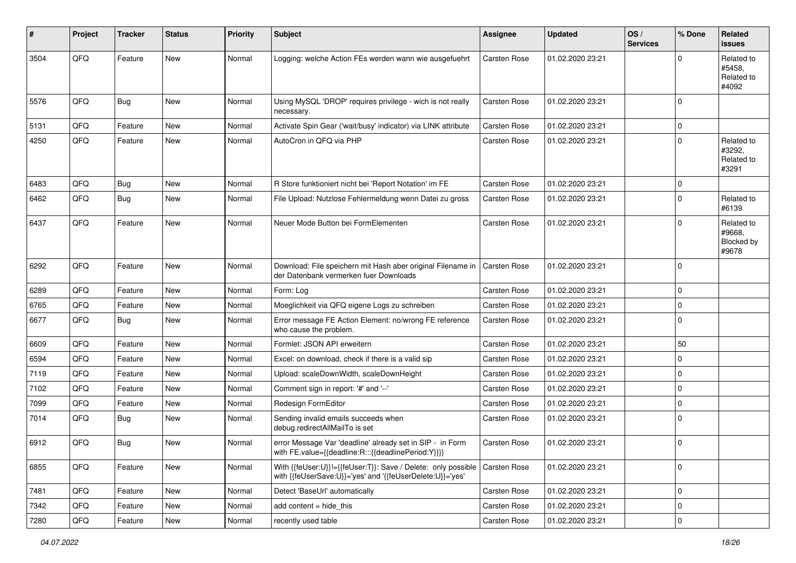| #    | Project | <b>Tracker</b> | <b>Status</b> | <b>Priority</b> | <b>Subject</b>                                                                                                             | Assignee            | Updated          | OS/<br><b>Services</b> | % Done      | <b>Related</b><br><b>issues</b>             |
|------|---------|----------------|---------------|-----------------|----------------------------------------------------------------------------------------------------------------------------|---------------------|------------------|------------------------|-------------|---------------------------------------------|
| 3504 | QFQ     | Feature        | New           | Normal          | Logging: welche Action FEs werden wann wie ausgefuehrt                                                                     | Carsten Rose        | 01.02.2020 23:21 |                        | $\Omega$    | Related to<br>#5458.<br>Related to<br>#4092 |
| 5576 | QFQ     | Bug            | <b>New</b>    | Normal          | Using MySQL 'DROP' requires privilege - wich is not really<br>necessary.                                                   | Carsten Rose        | 01.02.2020 23:21 |                        | $\Omega$    |                                             |
| 5131 | QFQ     | Feature        | New           | Normal          | Activate Spin Gear ('wait/busy' indicator) via LINK attribute                                                              | <b>Carsten Rose</b> | 01.02.2020 23:21 |                        | $\mathbf 0$ |                                             |
| 4250 | QFQ     | Feature        | New           | Normal          | AutoCron in QFQ via PHP                                                                                                    | Carsten Rose        | 01.02.2020 23:21 |                        | $\Omega$    | Related to<br>#3292,<br>Related to<br>#3291 |
| 6483 | QFQ     | Bug            | New           | Normal          | R Store funktioniert nicht bei 'Report Notation' im FE                                                                     | Carsten Rose        | 01.02.2020 23:21 |                        | $\mathbf 0$ |                                             |
| 6462 | QFQ     | Bug            | New           | Normal          | File Upload: Nutzlose Fehlermeldung wenn Datei zu gross                                                                    | Carsten Rose        | 01.02.2020 23:21 |                        | $\Omega$    | Related to<br>#6139                         |
| 6437 | QFQ     | Feature        | New           | Normal          | Neuer Mode Button bei FormElementen                                                                                        | Carsten Rose        | 01.02.2020 23:21 |                        | $\Omega$    | Related to<br>#9668.<br>Blocked by<br>#9678 |
| 6292 | QFQ     | Feature        | New           | Normal          | Download: File speichern mit Hash aber original Filename in<br>der Datenbank vermerken fuer Downloads                      | <b>Carsten Rose</b> | 01.02.2020 23:21 |                        | $\Omega$    |                                             |
| 6289 | QFQ     | Feature        | New           | Normal          | Form: Log                                                                                                                  | Carsten Rose        | 01.02.2020 23:21 |                        | $\mathbf 0$ |                                             |
| 6765 | QFQ     | Feature        | New           | Normal          | Moeglichkeit via QFQ eigene Logs zu schreiben                                                                              | Carsten Rose        | 01.02.2020 23:21 |                        | $\Omega$    |                                             |
| 6677 | QFQ     | Bug            | New           | Normal          | Error message FE Action Element: no/wrong FE reference<br>who cause the problem.                                           | Carsten Rose        | 01.02.2020 23:21 |                        | 0           |                                             |
| 6609 | QFQ     | Feature        | New           | Normal          | Formlet: JSON API erweitern                                                                                                | Carsten Rose        | 01.02.2020 23:21 |                        | 50          |                                             |
| 6594 | QFQ     | Feature        | New           | Normal          | Excel: on download, check if there is a valid sip                                                                          | Carsten Rose        | 01.02.2020 23:21 |                        | $\mathbf 0$ |                                             |
| 7119 | QFQ     | Feature        | New           | Normal          | Upload: scaleDownWidth, scaleDownHeight                                                                                    | Carsten Rose        | 01.02.2020 23:21 |                        | $\mathbf 0$ |                                             |
| 7102 | QFQ     | Feature        | New           | Normal          | Comment sign in report: '#' and '--'                                                                                       | Carsten Rose        | 01.02.2020 23:21 |                        | $\mathbf 0$ |                                             |
| 7099 | QFQ     | Feature        | New           | Normal          | Redesign FormEditor                                                                                                        | Carsten Rose        | 01.02.2020 23:21 |                        | $\mathbf 0$ |                                             |
| 7014 | QFQ     | Bug            | New           | Normal          | Sending invalid emails succeeds when<br>debug.redirectAllMailTo is set                                                     | <b>Carsten Rose</b> | 01.02.2020 23:21 |                        | $\Omega$    |                                             |
| 6912 | QFQ     | Bug            | <b>New</b>    | Normal          | error Message Var 'deadline' already set in SIP - in Form<br>with FE.value={{deadline:R:::{{deadlinePeriod:Y}}}}           | Carsten Rose        | 01.02.2020 23:21 |                        | $\mathbf 0$ |                                             |
| 6855 | QFQ     | Feature        | New           | Normal          | With {{feUser:U}}!={{feUser:T}}: Save / Delete: only possible<br>with {{feUserSave:U}}='yes' and '{{feUserDelete:U}}='yes' | <b>Carsten Rose</b> | 01.02.2020 23:21 |                        | 0           |                                             |
| 7481 | QFQ     | Feature        | New           | Normal          | Detect 'BaseUrl' automatically                                                                                             | Carsten Rose        | 01.02.2020 23:21 |                        | $\mathbf 0$ |                                             |
| 7342 | QFQ     | Feature        | New           | Normal          | add content = hide_this                                                                                                    | Carsten Rose        | 01.02.2020 23:21 |                        | 0           |                                             |
| 7280 | QFQ     | Feature        | New           | Normal          | recently used table                                                                                                        | Carsten Rose        | 01.02.2020 23:21 |                        | $\mathbf 0$ |                                             |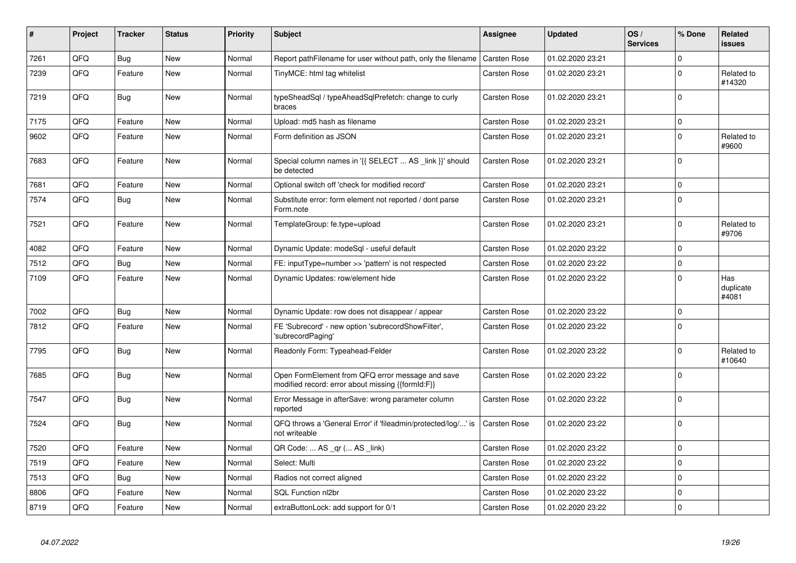| $\pmb{\sharp}$ | Project | <b>Tracker</b> | <b>Status</b> | <b>Priority</b> | <b>Subject</b>                                                                                        | <b>Assignee</b>     | <b>Updated</b>   | OS/<br><b>Services</b> | % Done      | <b>Related</b><br><b>issues</b> |
|----------------|---------|----------------|---------------|-----------------|-------------------------------------------------------------------------------------------------------|---------------------|------------------|------------------------|-------------|---------------------------------|
| 7261           | QFQ     | <b>Bug</b>     | <b>New</b>    | Normal          | Report path Filename for user without path, only the filename                                         | <b>Carsten Rose</b> | 01.02.2020 23:21 |                        | $\mathbf 0$ |                                 |
| 7239           | QFQ     | Feature        | New           | Normal          | TinyMCE: html tag whitelist                                                                           | Carsten Rose        | 01.02.2020 23:21 |                        | $\mathbf 0$ | Related to<br>#14320            |
| 7219           | QFQ     | <b>Bug</b>     | New           | Normal          | typeSheadSql / typeAheadSqlPrefetch: change to curly<br>braces                                        | <b>Carsten Rose</b> | 01.02.2020 23:21 |                        | $\Omega$    |                                 |
| 7175           | QFQ     | Feature        | <b>New</b>    | Normal          | Upload: md5 hash as filename                                                                          | <b>Carsten Rose</b> | 01.02.2020 23:21 |                        | $\mathbf 0$ |                                 |
| 9602           | QFQ     | Feature        | New           | Normal          | Form definition as JSON                                                                               | <b>Carsten Rose</b> | 01.02.2020 23:21 |                        | $\mathsf 0$ | Related to<br>#9600             |
| 7683           | QFQ     | Feature        | <b>New</b>    | Normal          | Special column names in '{{ SELECT  AS _link }}' should<br>be detected                                | <b>Carsten Rose</b> | 01.02.2020 23:21 |                        | $\mathbf 0$ |                                 |
| 7681           | QFQ     | Feature        | <b>New</b>    | Normal          | Optional switch off 'check for modified record'                                                       | <b>Carsten Rose</b> | 01.02.2020 23:21 |                        | $\mathsf 0$ |                                 |
| 7574           | QFQ     | Bug            | <b>New</b>    | Normal          | Substitute error: form element not reported / dont parse<br>Form.note                                 | <b>Carsten Rose</b> | 01.02.2020 23:21 |                        | $\mathbf 0$ |                                 |
| 7521           | QFQ     | Feature        | <b>New</b>    | Normal          | TemplateGroup: fe.type=upload                                                                         | <b>Carsten Rose</b> | 01.02.2020 23:21 |                        | $\mathbf 0$ | Related to<br>#9706             |
| 4082           | QFQ     | Feature        | <b>New</b>    | Normal          | Dynamic Update: modeSql - useful default                                                              | <b>Carsten Rose</b> | 01.02.2020 23:22 |                        | $\mathsf 0$ |                                 |
| 7512           | QFQ     | <b>Bug</b>     | <b>New</b>    | Normal          | FE: inputType=number >> 'pattern' is not respected                                                    | <b>Carsten Rose</b> | 01.02.2020 23:22 |                        | $\mathsf 0$ |                                 |
| 7109           | QFQ     | Feature        | <b>New</b>    | Normal          | Dynamic Updates: row/element hide                                                                     | Carsten Rose        | 01.02.2020 23:22 |                        | $\mathbf 0$ | Has<br>duplicate<br>#4081       |
| 7002           | QFQ     | <b>Bug</b>     | New           | Normal          | Dynamic Update: row does not disappear / appear                                                       | Carsten Rose        | 01.02.2020 23:22 |                        | $\mathbf 0$ |                                 |
| 7812           | QFQ     | Feature        | New           | Normal          | FE 'Subrecord' - new option 'subrecordShowFilter',<br>'subrecordPaging'                               | <b>Carsten Rose</b> | 01.02.2020 23:22 |                        | $\mathbf 0$ |                                 |
| 7795           | QFQ     | Bug            | New           | Normal          | Readonly Form: Typeahead-Felder                                                                       | <b>Carsten Rose</b> | 01.02.2020 23:22 |                        | $\mathbf 0$ | Related to<br>#10640            |
| 7685           | QFQ     | Bug            | New           | Normal          | Open FormElement from QFQ error message and save<br>modified record: error about missing {{formId:F}} | <b>Carsten Rose</b> | 01.02.2020 23:22 |                        | $\pmb{0}$   |                                 |
| 7547           | QFQ     | <b>Bug</b>     | New           | Normal          | Error Message in afterSave: wrong parameter column<br>reported                                        | <b>Carsten Rose</b> | 01.02.2020 23:22 |                        | $\mathbf 0$ |                                 |
| 7524           | QFQ     | Bug            | New           | Normal          | QFQ throws a 'General Error' if 'fileadmin/protected/log/' is<br>not writeable                        | <b>Carsten Rose</b> | 01.02.2020 23:22 |                        | $\mathbf 0$ |                                 |
| 7520           | QFQ     | Feature        | New           | Normal          | QR Code:  AS _qr ( AS _link)                                                                          | Carsten Rose        | 01.02.2020 23:22 |                        | $\pmb{0}$   |                                 |
| 7519           | QFQ     | Feature        | <b>New</b>    | Normal          | Select: Multi                                                                                         | Carsten Rose        | 01.02.2020 23:22 |                        | $\mathbf 0$ |                                 |
| 7513           | QFQ     | <b>Bug</b>     | New           | Normal          | Radios not correct aligned                                                                            | Carsten Rose        | 01.02.2020 23:22 |                        | $\mathbf 0$ |                                 |
| 8806           | QFQ     | Feature        | New           | Normal          | SQL Function nl2br                                                                                    | Carsten Rose        | 01.02.2020 23:22 |                        | $\mathbf 0$ |                                 |
| 8719           | QFQ     | Feature        | New           | Normal          | extraButtonLock: add support for 0/1                                                                  | <b>Carsten Rose</b> | 01.02.2020 23:22 |                        | $\pmb{0}$   |                                 |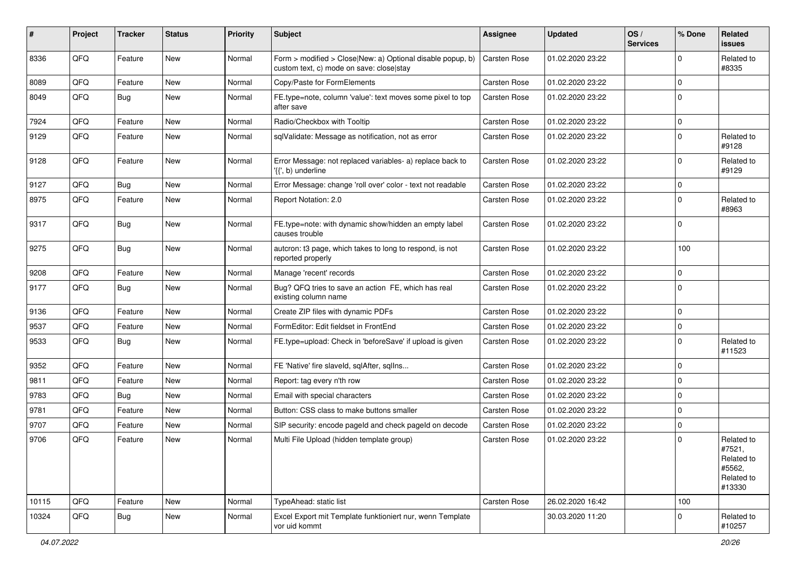| #     | Project | <b>Tracker</b> | <b>Status</b> | Priority | Subject                                                                                                                          | Assignee     | <b>Updated</b>   | OS/<br><b>Services</b> | % Done      | Related<br><b>issues</b>                                             |
|-------|---------|----------------|---------------|----------|----------------------------------------------------------------------------------------------------------------------------------|--------------|------------------|------------------------|-------------|----------------------------------------------------------------------|
| 8336  | QFQ     | Feature        | New           | Normal   | Form > modified > Close New: a) Optional disable popup, b)<br>custom text, c) mode on save: close stay                           | Carsten Rose | 01.02.2020 23:22 |                        | $\Omega$    | Related to<br>#8335                                                  |
| 8089  | QFQ     | Feature        | New           | Normal   | Copy/Paste for FormElements                                                                                                      | Carsten Rose | 01.02.2020 23:22 |                        | 0           |                                                                      |
| 8049  | QFQ     | Bug            | <b>New</b>    | Normal   | FE.type=note, column 'value': text moves some pixel to top<br>after save                                                         | Carsten Rose | 01.02.2020 23:22 |                        | $\Omega$    |                                                                      |
| 7924  | QFQ     | Feature        | <b>New</b>    | Normal   | Radio/Checkbox with Tooltip                                                                                                      | Carsten Rose | 01.02.2020 23:22 |                        | $\mathbf 0$ |                                                                      |
| 9129  | QFQ     | Feature        | New           | Normal   | sqlValidate: Message as notification, not as error                                                                               | Carsten Rose | 01.02.2020 23:22 |                        | 0           | Related to<br>#9128                                                  |
| 9128  | QFQ     | Feature        | New           | Normal   | Error Message: not replaced variables- a) replace back to<br>$\langle \{ \langle \cdot, \cdot \rangle \rangle \rangle$ underline | Carsten Rose | 01.02.2020 23:22 |                        | $\mathbf 0$ | Related to<br>#9129                                                  |
| 9127  | QFQ     | Bug            | <b>New</b>    | Normal   | Error Message: change 'roll over' color - text not readable                                                                      | Carsten Rose | 01.02.2020 23:22 |                        | 0           |                                                                      |
| 8975  | QFQ     | Feature        | <b>New</b>    | Normal   | Report Notation: 2.0                                                                                                             | Carsten Rose | 01.02.2020 23:22 |                        | 0           | Related to<br>#8963                                                  |
| 9317  | QFQ     | Bug            | <b>New</b>    | Normal   | FE.type=note: with dynamic show/hidden an empty label<br>causes trouble                                                          | Carsten Rose | 01.02.2020 23:22 |                        | $\mathbf 0$ |                                                                      |
| 9275  | QFQ     | <b>Bug</b>     | <b>New</b>    | Normal   | autcron: t3 page, which takes to long to respond, is not<br>reported properly                                                    | Carsten Rose | 01.02.2020 23:22 |                        | 100         |                                                                      |
| 9208  | QFQ     | Feature        | <b>New</b>    | Normal   | Manage 'recent' records                                                                                                          | Carsten Rose | 01.02.2020 23:22 |                        | $\mathbf 0$ |                                                                      |
| 9177  | QFQ     | Bug            | New           | Normal   | Bug? QFQ tries to save an action FE, which has real<br>existing column name                                                      | Carsten Rose | 01.02.2020 23:22 |                        | $\Omega$    |                                                                      |
| 9136  | QFQ     | Feature        | <b>New</b>    | Normal   | Create ZIP files with dynamic PDFs                                                                                               | Carsten Rose | 01.02.2020 23:22 |                        | $\mathbf 0$ |                                                                      |
| 9537  | QFQ     | Feature        | New           | Normal   | FormEditor: Edit fieldset in FrontEnd                                                                                            | Carsten Rose | 01.02.2020 23:22 |                        | $\mathbf 0$ |                                                                      |
| 9533  | QFQ     | Bug            | <b>New</b>    | Normal   | FE.type=upload: Check in 'beforeSave' if upload is given                                                                         | Carsten Rose | 01.02.2020 23:22 |                        | $\mathbf 0$ | Related to<br>#11523                                                 |
| 9352  | QFQ     | Feature        | <b>New</b>    | Normal   | FE 'Native' fire slaveld, sqlAfter, sqlIns                                                                                       | Carsten Rose | 01.02.2020 23:22 |                        | $\mathbf 0$ |                                                                      |
| 9811  | QFQ     | Feature        | <b>New</b>    | Normal   | Report: tag every n'th row                                                                                                       | Carsten Rose | 01.02.2020 23:22 |                        | 0           |                                                                      |
| 9783  | QFQ     | <b>Bug</b>     | New           | Normal   | Email with special characters                                                                                                    | Carsten Rose | 01.02.2020 23:22 |                        | $\Omega$    |                                                                      |
| 9781  | QFQ     | Feature        | <b>New</b>    | Normal   | Button: CSS class to make buttons smaller                                                                                        | Carsten Rose | 01.02.2020 23:22 |                        | $\mathbf 0$ |                                                                      |
| 9707  | QFQ     | Feature        | <b>New</b>    | Normal   | SIP security: encode pageld and check pageld on decode                                                                           | Carsten Rose | 01.02.2020 23:22 |                        | $\mathbf 0$ |                                                                      |
| 9706  | QFQ     | Feature        | New           | Normal   | Multi File Upload (hidden template group)                                                                                        | Carsten Rose | 01.02.2020 23:22 |                        | $\mathbf 0$ | Related to<br>#7521,<br>Related to<br>#5562,<br>Related to<br>#13330 |
| 10115 | QFQ     | Feature        | New           | Normal   | TypeAhead: static list                                                                                                           | Carsten Rose | 26.02.2020 16:42 |                        | 100         |                                                                      |
| 10324 | QFQ     | <b>Bug</b>     | New           | Normal   | Excel Export mit Template funktioniert nur, wenn Template<br>vor uid kommt                                                       |              | 30.03.2020 11:20 |                        | $\Omega$    | Related to<br>#10257                                                 |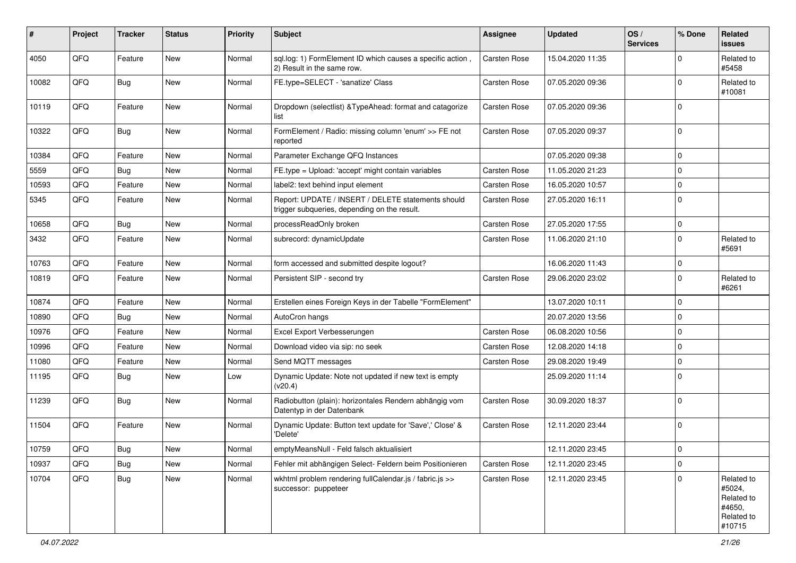| $\sharp$ | Project | <b>Tracker</b> | <b>Status</b> | <b>Priority</b> | Subject                                                                                            | <b>Assignee</b>     | <b>Updated</b>   | OS/<br><b>Services</b> | % Done      | Related<br><b>issues</b>                                             |
|----------|---------|----------------|---------------|-----------------|----------------------------------------------------------------------------------------------------|---------------------|------------------|------------------------|-------------|----------------------------------------------------------------------|
| 4050     | QFQ     | Feature        | <b>New</b>    | Normal          | sql.log: 1) FormElement ID which causes a specific action,<br>2) Result in the same row.           | Carsten Rose        | 15.04.2020 11:35 |                        | O           | Related to<br>#5458                                                  |
| 10082    | QFQ     | <b>Bug</b>     | New           | Normal          | FE.type=SELECT - 'sanatize' Class                                                                  | <b>Carsten Rose</b> | 07.05.2020 09:36 |                        | 0           | Related to<br>#10081                                                 |
| 10119    | QFQ     | Feature        | <b>New</b>    | Normal          | Dropdown (selectlist) & TypeAhead: format and catagorize<br>list                                   | <b>Carsten Rose</b> | 07.05.2020 09:36 |                        | $\Omega$    |                                                                      |
| 10322    | QFQ     | Bug            | New           | Normal          | FormElement / Radio: missing column 'enum' >> FE not<br>reported                                   | Carsten Rose        | 07.05.2020 09:37 |                        | 0           |                                                                      |
| 10384    | QFQ     | Feature        | <b>New</b>    | Normal          | Parameter Exchange QFQ Instances                                                                   |                     | 07.05.2020 09:38 |                        | $\mathbf 0$ |                                                                      |
| 5559     | QFQ     | <b>Bug</b>     | <b>New</b>    | Normal          | FE.type = Upload: 'accept' might contain variables                                                 | <b>Carsten Rose</b> | 11.05.2020 21:23 |                        | $\Omega$    |                                                                      |
| 10593    | QFQ     | Feature        | New           | Normal          | label2: text behind input element                                                                  | <b>Carsten Rose</b> | 16.05.2020 10:57 |                        | $\Omega$    |                                                                      |
| 5345     | QFQ     | Feature        | <b>New</b>    | Normal          | Report: UPDATE / INSERT / DELETE statements should<br>trigger subqueries, depending on the result. | <b>Carsten Rose</b> | 27.05.2020 16:11 |                        | $\Omega$    |                                                                      |
| 10658    | QFQ     | Bug            | <b>New</b>    | Normal          | processReadOnly broken                                                                             | <b>Carsten Rose</b> | 27.05.2020 17:55 |                        | $\mathbf 0$ |                                                                      |
| 3432     | QFQ     | Feature        | <b>New</b>    | Normal          | subrecord: dynamicUpdate                                                                           | <b>Carsten Rose</b> | 11.06.2020 21:10 |                        | 0           | Related to<br>#5691                                                  |
| 10763    | QFQ     | Feature        | <b>New</b>    | Normal          | form accessed and submitted despite logout?                                                        |                     | 16.06.2020 11:43 |                        | $\mathbf 0$ |                                                                      |
| 10819    | QFQ     | Feature        | New           | Normal          | Persistent SIP - second try                                                                        | <b>Carsten Rose</b> | 29.06.2020 23:02 |                        | $\Omega$    | Related to<br>#6261                                                  |
| 10874    | QFQ     | Feature        | <b>New</b>    | Normal          | Erstellen eines Foreign Keys in der Tabelle "FormElement"                                          |                     | 13.07.2020 10:11 |                        | $\mathbf 0$ |                                                                      |
| 10890    | QFQ     | Bug            | <b>New</b>    | Normal          | AutoCron hangs                                                                                     |                     | 20.07.2020 13:56 |                        | $\Omega$    |                                                                      |
| 10976    | QFQ     | Feature        | New           | Normal          | Excel Export Verbesserungen                                                                        | <b>Carsten Rose</b> | 06.08.2020 10:56 |                        | $\Omega$    |                                                                      |
| 10996    | QFQ     | Feature        | <b>New</b>    | Normal          | Download video via sip: no seek                                                                    | <b>Carsten Rose</b> | 12.08.2020 14:18 |                        | $\mathbf 0$ |                                                                      |
| 11080    | QFQ     | Feature        | <b>New</b>    | Normal          | Send MQTT messages                                                                                 | Carsten Rose        | 29.08.2020 19:49 |                        | $\Omega$    |                                                                      |
| 11195    | QFQ     | <b>Bug</b>     | New           | Low             | Dynamic Update: Note not updated if new text is empty<br>(v20.4)                                   |                     | 25.09.2020 11:14 |                        | 0           |                                                                      |
| 11239    | QFQ     | Bug            | <b>New</b>    | Normal          | Radiobutton (plain): horizontales Rendern abhängig vom<br>Datentyp in der Datenbank                | <b>Carsten Rose</b> | 30.09.2020 18:37 |                        | $\mathbf 0$ |                                                                      |
| 11504    | QFQ     | Feature        | <b>New</b>    | Normal          | Dynamic Update: Button text update for 'Save',' Close' &<br>'Delete'                               | Carsten Rose        | 12.11.2020 23:44 |                        | 0           |                                                                      |
| 10759    | QFQ     | Bug            | New           | Normal          | emptyMeansNull - Feld falsch aktualisiert                                                          |                     | 12.11.2020 23:45 |                        | $\Omega$    |                                                                      |
| 10937    | QFQ     | <b>Bug</b>     | New           | Normal          | Fehler mit abhängigen Select- Feldern beim Positionieren                                           | Carsten Rose        | 12.11.2020 23:45 |                        | $\mathbf 0$ |                                                                      |
| 10704    | QFQ     | <b>Bug</b>     | New           | Normal          | wkhtml problem rendering fullCalendar.js / fabric.js >><br>successor: puppeteer                    | Carsten Rose        | 12.11.2020 23:45 |                        | $\mathbf 0$ | Related to<br>#5024,<br>Related to<br>#4650,<br>Related to<br>#10715 |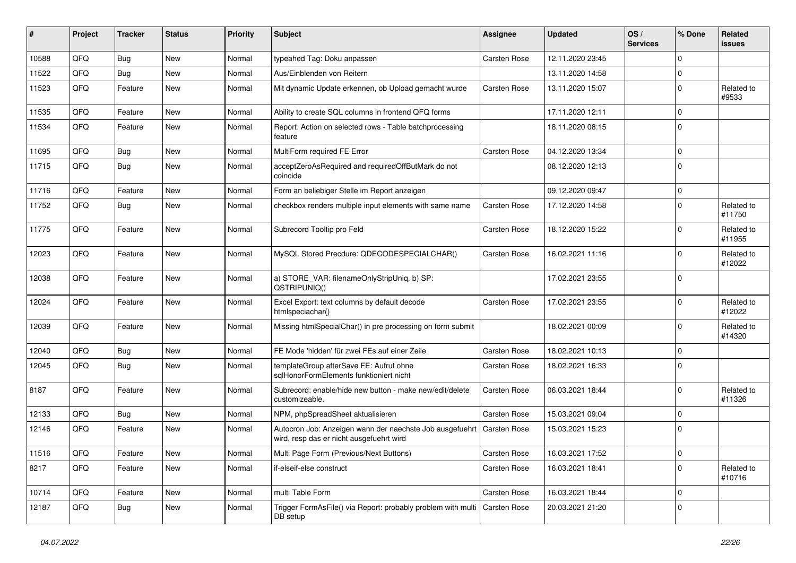| ∦     | Project | <b>Tracker</b> | <b>Status</b> | <b>Priority</b> | <b>Subject</b>                                                                                                      | Assignee     | <b>Updated</b>   | OS/<br><b>Services</b> | % Done      | Related<br><b>issues</b> |
|-------|---------|----------------|---------------|-----------------|---------------------------------------------------------------------------------------------------------------------|--------------|------------------|------------------------|-------------|--------------------------|
| 10588 | QFQ     | Bug            | <b>New</b>    | Normal          | typeahed Tag: Doku anpassen                                                                                         | Carsten Rose | 12.11.2020 23:45 |                        | $\mathbf 0$ |                          |
| 11522 | QFQ     | Bug            | <b>New</b>    | Normal          | Aus/Einblenden von Reitern                                                                                          |              | 13.11.2020 14:58 |                        | $\Omega$    |                          |
| 11523 | QFQ     | Feature        | New           | Normal          | Mit dynamic Update erkennen, ob Upload gemacht wurde                                                                | Carsten Rose | 13.11.2020 15:07 |                        | $\mathbf 0$ | Related to<br>#9533      |
| 11535 | QFQ     | Feature        | New           | Normal          | Ability to create SQL columns in frontend QFQ forms                                                                 |              | 17.11.2020 12:11 |                        | $\mathbf 0$ |                          |
| 11534 | QFQ     | Feature        | New           | Normal          | Report: Action on selected rows - Table batchprocessing<br>feature                                                  |              | 18.11.2020 08:15 |                        | $\mathbf 0$ |                          |
| 11695 | QFQ     | Bug            | <b>New</b>    | Normal          | MultiForm required FE Error                                                                                         | Carsten Rose | 04.12.2020 13:34 |                        | $\Omega$    |                          |
| 11715 | QFQ     | Bug            | New           | Normal          | acceptZeroAsRequired and requiredOffButMark do not<br>coincide                                                      |              | 08.12.2020 12:13 |                        | $\Omega$    |                          |
| 11716 | QFQ     | Feature        | New           | Normal          | Form an beliebiger Stelle im Report anzeigen                                                                        |              | 09.12.2020 09:47 |                        | $\mathbf 0$ |                          |
| 11752 | QFQ     | Bug            | <b>New</b>    | Normal          | checkbox renders multiple input elements with same name                                                             | Carsten Rose | 17.12.2020 14:58 |                        | $\Omega$    | Related to<br>#11750     |
| 11775 | QFQ     | Feature        | <b>New</b>    | Normal          | Subrecord Tooltip pro Feld                                                                                          | Carsten Rose | 18.12.2020 15:22 |                        | $\mathbf 0$ | Related to<br>#11955     |
| 12023 | QFQ     | Feature        | New           | Normal          | MySQL Stored Precdure: QDECODESPECIALCHAR()                                                                         | Carsten Rose | 16.02.2021 11:16 |                        | $\Omega$    | Related to<br>#12022     |
| 12038 | QFQ     | Feature        | New           | Normal          | a) STORE_VAR: filenameOnlyStripUniq, b) SP:<br>QSTRIPUNIQ()                                                         |              | 17.02.2021 23:55 |                        | $\mathbf 0$ |                          |
| 12024 | QFQ     | Feature        | New           | Normal          | Excel Export: text columns by default decode<br>htmlspeciachar()                                                    | Carsten Rose | 17.02.2021 23:55 |                        | $\mathbf 0$ | Related to<br>#12022     |
| 12039 | QFQ     | Feature        | New           | Normal          | Missing htmlSpecialChar() in pre processing on form submit                                                          |              | 18.02.2021 00:09 |                        | $\mathbf 0$ | Related to<br>#14320     |
| 12040 | QFQ     | Bug            | <b>New</b>    | Normal          | FE Mode 'hidden' für zwei FEs auf einer Zeile                                                                       | Carsten Rose | 18.02.2021 10:13 |                        | $\Omega$    |                          |
| 12045 | QFQ     | <b>Bug</b>     | New           | Normal          | templateGroup afterSave FE: Aufruf ohne<br>sglHonorFormElements funktioniert nicht                                  | Carsten Rose | 18.02.2021 16:33 |                        | $\mathbf 0$ |                          |
| 8187  | QFQ     | Feature        | New           | Normal          | Subrecord: enable/hide new button - make new/edit/delete<br>customizeable.                                          | Carsten Rose | 06.03.2021 18:44 |                        | $\Omega$    | Related to<br>#11326     |
| 12133 | QFQ     | Bug            | New           | Normal          | NPM, phpSpreadSheet aktualisieren                                                                                   | Carsten Rose | 15.03.2021 09:04 |                        | $\mathbf 0$ |                          |
| 12146 | QFQ     | Feature        | New           | Normal          | Autocron Job: Anzeigen wann der naechste Job ausgefuehrt   Carsten Rose<br>wird, resp das er nicht ausgefuehrt wird |              | 15.03.2021 15:23 |                        | $\Omega$    |                          |
| 11516 | QFQ     | Feature        | New           | Normal          | Multi Page Form (Previous/Next Buttons)                                                                             | Carsten Rose | 16.03.2021 17:52 |                        | 0           |                          |
| 8217  | QFQ     | Feature        | New           | Normal          | if-elseif-else construct                                                                                            | Carsten Rose | 16.03.2021 18:41 |                        | $\mathbf 0$ | Related to<br>#10716     |
| 10714 | QFQ     | Feature        | New           | Normal          | multi Table Form                                                                                                    | Carsten Rose | 16.03.2021 18:44 |                        | $\mathbf 0$ |                          |
| 12187 | QFQ     | <b>Bug</b>     | New           | Normal          | Trigger FormAsFile() via Report: probably problem with multi<br>DB setup                                            | Carsten Rose | 20.03.2021 21:20 |                        | $\mathbf 0$ |                          |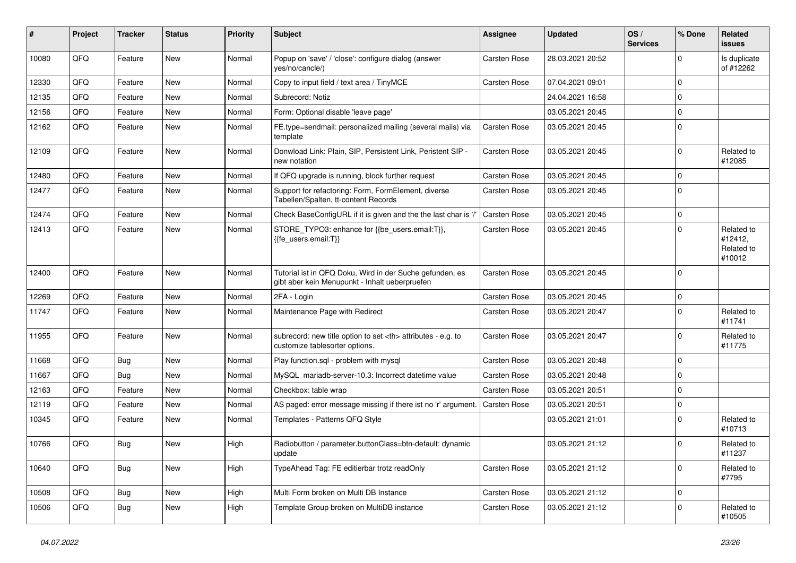| ∦     | Project | <b>Tracker</b> | <b>Status</b> | <b>Priority</b> | Subject                                                                                                    | <b>Assignee</b>                                        | <b>Updated</b>      | OS/<br><b>Services</b> | % Done      | <b>Related</b><br><b>issues</b>               |                      |
|-------|---------|----------------|---------------|-----------------|------------------------------------------------------------------------------------------------------------|--------------------------------------------------------|---------------------|------------------------|-------------|-----------------------------------------------|----------------------|
| 10080 | QFQ     | Feature        | New           | Normal          | Popup on 'save' / 'close': configure dialog (answer<br>yes/no/cancle/)                                     | <b>Carsten Rose</b>                                    | 28.03.2021 20:52    |                        | $\mathbf 0$ | Is duplicate<br>of #12262                     |                      |
| 12330 | QFQ     | Feature        | New           | Normal          | Copy to input field / text area / TinyMCE                                                                  | <b>Carsten Rose</b>                                    | 07.04.2021 09:01    |                        | $\mathbf 0$ |                                               |                      |
| 12135 | QFQ     | Feature        | <b>New</b>    | Normal          | Subrecord: Notiz                                                                                           |                                                        | 24.04.2021 16:58    |                        | $\mathbf 0$ |                                               |                      |
| 12156 | QFQ     | Feature        | New           | Normal          | Form: Optional disable 'leave page'                                                                        |                                                        | 03.05.2021 20:45    |                        | $\mathbf 0$ |                                               |                      |
| 12162 | QFQ     | Feature        | New           | Normal          | FE.type=sendmail: personalized mailing (several mails) via<br>template                                     | <b>Carsten Rose</b>                                    | 03.05.2021 20:45    |                        | $\mathbf 0$ |                                               |                      |
| 12109 | QFQ     | Feature        | New           | Normal          | Donwload Link: Plain, SIP, Persistent Link, Peristent SIP -<br>new notation                                | <b>Carsten Rose</b>                                    | 03.05.2021 20:45    |                        | $\mathbf 0$ | Related to<br>#12085                          |                      |
| 12480 | QFQ     | Feature        | <b>New</b>    | Normal          | If QFQ upgrade is running, block further request                                                           | <b>Carsten Rose</b>                                    | 03.05.2021 20:45    |                        | $\mathbf 0$ |                                               |                      |
| 12477 | QFQ     | Feature        | New           | Normal          | Support for refactoring: Form, FormElement, diverse<br>Tabellen/Spalten, tt-content Records                | <b>Carsten Rose</b>                                    | 03.05.2021 20:45    |                        | $\mathbf 0$ |                                               |                      |
| 12474 | QFQ     | Feature        | <b>New</b>    | Normal          | Check BaseConfigURL if it is given and the the last char is '/'                                            | <b>Carsten Rose</b>                                    | 03.05.2021 20:45    |                        | $\mathbf 0$ |                                               |                      |
| 12413 | QFQ     | Feature        | New           | Normal          | STORE_TYPO3: enhance for {{be_users.email:T}},<br>{{fe users.email:T}}                                     | <b>Carsten Rose</b>                                    | 03.05.2021 20:45    |                        | $\mathbf 0$ | Related to<br>#12412,<br>Related to<br>#10012 |                      |
| 12400 | QFQ     | Feature        | New           | Normal          | Tutorial ist in QFQ Doku, Wird in der Suche gefunden, es<br>gibt aber kein Menupunkt - Inhalt ueberpruefen | <b>Carsten Rose</b>                                    | 03.05.2021 20:45    |                        | $\mathbf 0$ |                                               |                      |
| 12269 | QFQ     | Feature        | <b>New</b>    | Normal          | 2FA - Login                                                                                                | <b>Carsten Rose</b>                                    | 03.05.2021 20:45    |                        | $\mathbf 0$ |                                               |                      |
| 11747 | QFQ     | Feature        | New           | Normal          | Maintenance Page with Redirect                                                                             | <b>Carsten Rose</b>                                    | 03.05.2021 20:47    |                        | $\mathbf 0$ | Related to<br>#11741                          |                      |
| 11955 | QFQ     | Feature        | New           | Normal          | subrecord: new title option to set <th> attributes - e.g. to<br/>customize tablesorter options.</th>       | attributes - e.g. to<br>customize tablesorter options. | <b>Carsten Rose</b> | 03.05.2021 20:47       |             | $\mathbf 0$                                   | Related to<br>#11775 |
| 11668 | QFQ     | Bug            | New           | Normal          | Play function.sql - problem with mysql                                                                     | Carsten Rose                                           | 03.05.2021 20:48    |                        | $\mathbf 0$ |                                               |                      |
| 11667 | QFQ     | Bug            | New           | Normal          | MySQL mariadb-server-10.3: Incorrect datetime value                                                        | <b>Carsten Rose</b>                                    | 03.05.2021 20:48    |                        | $\mathbf 0$ |                                               |                      |
| 12163 | QFQ     | Feature        | New           | Normal          | Checkbox: table wrap                                                                                       | <b>Carsten Rose</b>                                    | 03.05.2021 20:51    |                        | $\mathbf 0$ |                                               |                      |
| 12119 | QFQ     | Feature        | <b>New</b>    | Normal          | AS paged: error message missing if there ist no 'r' argument.                                              | <b>Carsten Rose</b>                                    | 03.05.2021 20:51    |                        | $\mathbf 0$ |                                               |                      |
| 10345 | QFQ     | Feature        | New           | Normal          | Templates - Patterns QFQ Style                                                                             |                                                        | 03.05.2021 21:01    |                        | $\mathbf 0$ | Related to<br>#10713                          |                      |
| 10766 | QFQ     | Bug            | New           | High            | Radiobutton / parameter.buttonClass=btn-default: dynamic<br>update                                         |                                                        | 03.05.2021 21:12    |                        | $\mathbf 0$ | Related to<br>#11237                          |                      |
| 10640 | QFQ     | <b>Bug</b>     | New           | High            | TypeAhead Tag: FE editierbar trotz readOnly                                                                | Carsten Rose                                           | 03.05.2021 21:12    |                        | $\mathbf 0$ | Related to<br>#7795                           |                      |
| 10508 | QFQ     | <b>Bug</b>     | New           | High            | Multi Form broken on Multi DB Instance                                                                     | Carsten Rose                                           | 03.05.2021 21:12    |                        | $\mathbf 0$ |                                               |                      |
| 10506 | QFQ     | <b>Bug</b>     | New           | High            | Template Group broken on MultiDB instance                                                                  | Carsten Rose                                           | 03.05.2021 21:12    |                        | $\mathbf 0$ | Related to<br>#10505                          |                      |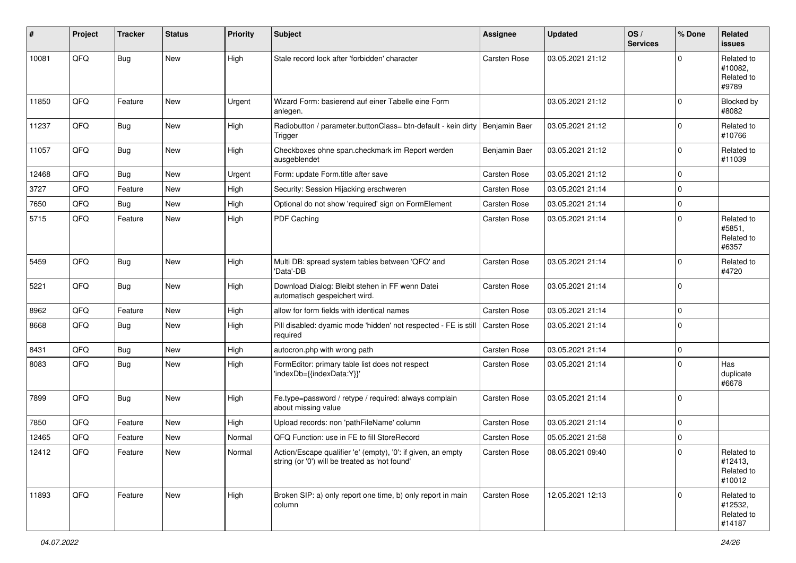| #     | Project | <b>Tracker</b> | <b>Status</b> | <b>Priority</b> | <b>Subject</b>                                                                                                 | <b>Assignee</b> | <b>Updated</b>   | OS/<br><b>Services</b> | % Done      | Related<br><b>issues</b>                      |
|-------|---------|----------------|---------------|-----------------|----------------------------------------------------------------------------------------------------------------|-----------------|------------------|------------------------|-------------|-----------------------------------------------|
| 10081 | QFQ     | <b>Bug</b>     | <b>New</b>    | High            | Stale record lock after 'forbidden' character                                                                  | Carsten Rose    | 03.05.2021 21:12 |                        | $\Omega$    | Related to<br>#10082,<br>Related to<br>#9789  |
| 11850 | QFQ     | Feature        | <b>New</b>    | Urgent          | Wizard Form: basierend auf einer Tabelle eine Form<br>anlegen.                                                 |                 | 03.05.2021 21:12 |                        | $\Omega$    | Blocked by<br>#8082                           |
| 11237 | QFQ     | Bug            | <b>New</b>    | High            | Radiobutton / parameter.buttonClass= btn-default - kein dirty   Benjamin Baer<br>Trigger                       |                 | 03.05.2021 21:12 |                        | $\Omega$    | Related to<br>#10766                          |
| 11057 | QFQ     | Bug            | <b>New</b>    | High            | Checkboxes ohne span.checkmark im Report werden<br>ausgeblendet                                                | Benjamin Baer   | 03.05.2021 21:12 |                        | $\Omega$    | Related to<br>#11039                          |
| 12468 | QFQ     | Bug            | <b>New</b>    | Urgent          | Form: update Form.title after save                                                                             | Carsten Rose    | 03.05.2021 21:12 |                        | $\Omega$    |                                               |
| 3727  | QFQ     | Feature        | <b>New</b>    | High            | Security: Session Hijacking erschweren                                                                         | Carsten Rose    | 03.05.2021 21:14 |                        | $\Omega$    |                                               |
| 7650  | QFQ     | Bug            | New           | High            | Optional do not show 'required' sign on FormElement                                                            | Carsten Rose    | 03.05.2021 21:14 |                        | $\Omega$    |                                               |
| 5715  | QFQ     | Feature        | New           | High            | PDF Caching                                                                                                    | Carsten Rose    | 03.05.2021 21:14 |                        | $\Omega$    | Related to<br>#5851,<br>Related to<br>#6357   |
| 5459  | QFQ     | <b>Bug</b>     | <b>New</b>    | High            | Multi DB: spread system tables between 'QFQ' and<br>'Data'-DB                                                  | Carsten Rose    | 03.05.2021 21:14 |                        | $\Omega$    | Related to<br>#4720                           |
| 5221  | QFQ     | <b>Bug</b>     | <b>New</b>    | High            | Download Dialog: Bleibt stehen in FF wenn Datei<br>automatisch gespeichert wird.                               | Carsten Rose    | 03.05.2021 21:14 |                        | $\Omega$    |                                               |
| 8962  | QFQ     | Feature        | <b>New</b>    | High            | allow for form fields with identical names                                                                     | Carsten Rose    | 03.05.2021 21:14 |                        | $\Omega$    |                                               |
| 8668  | QFQ     | Bug            | <b>New</b>    | High            | Pill disabled: dyamic mode 'hidden' not respected - FE is still<br>required                                    | Carsten Rose    | 03.05.2021 21:14 |                        | $\Omega$    |                                               |
| 8431  | QFQ     | Bug            | <b>New</b>    | High            | autocron.php with wrong path                                                                                   | Carsten Rose    | 03.05.2021 21:14 |                        | $\mathbf 0$ |                                               |
| 8083  | QFQ     | <b>Bug</b>     | <b>New</b>    | High            | FormEditor: primary table list does not respect<br>'indexDb={{indexData:Y}}'                                   | Carsten Rose    | 03.05.2021 21:14 |                        | $\Omega$    | Has<br>duplicate<br>#6678                     |
| 7899  | QFQ     | <b>Bug</b>     | <b>New</b>    | High            | Fe.type=password / retype / required: always complain<br>about missing value                                   | Carsten Rose    | 03.05.2021 21:14 |                        | $\Omega$    |                                               |
| 7850  | QFQ     | Feature        | <b>New</b>    | High            | Upload records: non 'pathFileName' column                                                                      | Carsten Rose    | 03.05.2021 21:14 |                        | $\Omega$    |                                               |
| 12465 | QFQ     | Feature        | New           | Normal          | QFQ Function: use in FE to fill StoreRecord                                                                    | Carsten Rose    | 05.05.2021 21:58 |                        | $\Omega$    |                                               |
| 12412 | QFQ     | Feature        | New           | Normal          | Action/Escape qualifier 'e' (empty), '0': if given, an empty<br>string (or '0') will be treated as 'not found' | Carsten Rose    | 08.05.2021 09:40 |                        | $\mathbf 0$ | Related to<br>#12413,<br>Related to<br>#10012 |
| 11893 | QFQ     | Feature        | New           | High            | Broken SIP: a) only report one time, b) only report in main<br>column                                          | Carsten Rose    | 12.05.2021 12:13 |                        | $\Omega$    | Related to<br>#12532,<br>Related to<br>#14187 |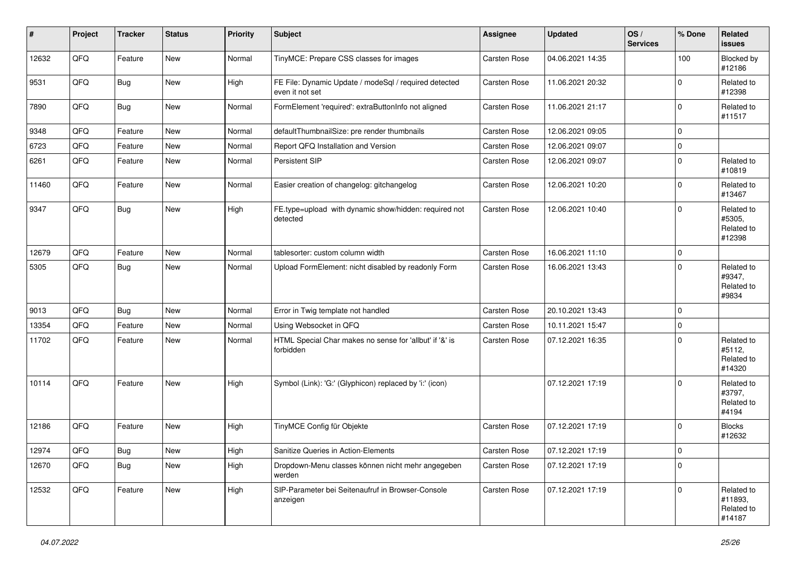| #     | Project | <b>Tracker</b> | <b>Status</b> | <b>Priority</b> | Subject                                                                  | Assignee     | <b>Updated</b>   | OS/<br><b>Services</b> | % Done      | Related<br>issues                             |
|-------|---------|----------------|---------------|-----------------|--------------------------------------------------------------------------|--------------|------------------|------------------------|-------------|-----------------------------------------------|
| 12632 | QFQ     | Feature        | New           | Normal          | TinyMCE: Prepare CSS classes for images                                  | Carsten Rose | 04.06.2021 14:35 |                        | 100         | Blocked by<br>#12186                          |
| 9531  | QFQ     | <b>Bug</b>     | New           | High            | FE File: Dynamic Update / modeSql / required detected<br>even it not set | Carsten Rose | 11.06.2021 20:32 |                        | $\Omega$    | Related to<br>#12398                          |
| 7890  | QFQ     | Bug            | New           | Normal          | FormElement 'required': extraButtonInfo not aligned                      | Carsten Rose | 11.06.2021 21:17 |                        | $\Omega$    | Related to<br>#11517                          |
| 9348  | QFQ     | Feature        | New           | Normal          | defaultThumbnailSize: pre render thumbnails                              | Carsten Rose | 12.06.2021 09:05 |                        | $\mathbf 0$ |                                               |
| 6723  | QFQ     | Feature        | New           | Normal          | Report QFQ Installation and Version                                      | Carsten Rose | 12.06.2021 09:07 |                        | $\mathbf 0$ |                                               |
| 6261  | QFQ     | Feature        | New           | Normal          | Persistent SIP                                                           | Carsten Rose | 12.06.2021 09:07 |                        | $\Omega$    | Related to<br>#10819                          |
| 11460 | QFQ     | Feature        | New           | Normal          | Easier creation of changelog: gitchangelog                               | Carsten Rose | 12.06.2021 10:20 |                        | $\Omega$    | Related to<br>#13467                          |
| 9347  | QFQ     | Bug            | New           | High            | FE.type=upload with dynamic show/hidden: required not<br>detected        | Carsten Rose | 12.06.2021 10:40 |                        | $\Omega$    | Related to<br>#5305,<br>Related to<br>#12398  |
| 12679 | QFQ     | Feature        | New           | Normal          | tablesorter: custom column width                                         | Carsten Rose | 16.06.2021 11:10 |                        | 0           |                                               |
| 5305  | QFQ     | Bug            | New           | Normal          | Upload FormElement: nicht disabled by readonly Form                      | Carsten Rose | 16.06.2021 13:43 |                        | $\Omega$    | Related to<br>#9347,<br>Related to<br>#9834   |
| 9013  | QFQ     | Bug            | New           | Normal          | Error in Twig template not handled                                       | Carsten Rose | 20.10.2021 13:43 |                        | $\Omega$    |                                               |
| 13354 | QFQ     | Feature        | New           | Normal          | Using Websocket in QFQ                                                   | Carsten Rose | 10.11.2021 15:47 |                        | $\Omega$    |                                               |
| 11702 | QFQ     | Feature        | New           | Normal          | HTML Special Char makes no sense for 'allbut' if '&' is<br>forbidden     | Carsten Rose | 07.12.2021 16:35 |                        | $\Omega$    | Related to<br>#5112,<br>Related to<br>#14320  |
| 10114 | QFQ     | Feature        | New           | High            | Symbol (Link): 'G:' (Glyphicon) replaced by 'i:' (icon)                  |              | 07.12.2021 17:19 |                        | $\Omega$    | Related to<br>#3797,<br>Related to<br>#4194   |
| 12186 | QFQ     | Feature        | New           | High            | TinyMCE Config für Objekte                                               | Carsten Rose | 07.12.2021 17:19 |                        | $\Omega$    | <b>Blocks</b><br>#12632                       |
| 12974 | QFG     | <b>Bug</b>     | New           | High            | Sanitize Queries in Action-Elements                                      | Carsten Rose | 07.12.2021 17:19 |                        | $\pmb{0}$   |                                               |
| 12670 | QFQ     | <b>Bug</b>     | New           | High            | Dropdown-Menu classes können nicht mehr angegeben<br>werden              | Carsten Rose | 07.12.2021 17:19 |                        | $\Omega$    |                                               |
| 12532 | QFQ     | Feature        | <b>New</b>    | High            | SIP-Parameter bei Seitenaufruf in Browser-Console<br>anzeigen            | Carsten Rose | 07.12.2021 17:19 |                        | $\mathbf 0$ | Related to<br>#11893,<br>Related to<br>#14187 |